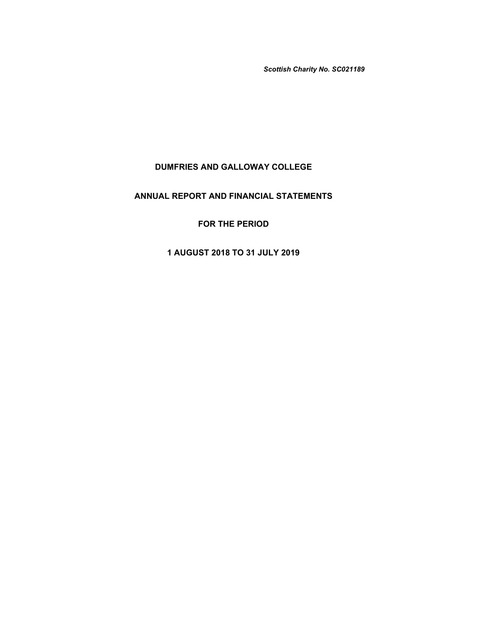*Scottish Charity No. SC021189*

# **DUMFRIES AND GALLOWAY COLLEGE**

# **ANNUAL REPORT AND FINANCIAL STATEMENTS**

# **FOR THE PERIOD**

# **1 AUGUST 2018 TO 31 JULY 2019**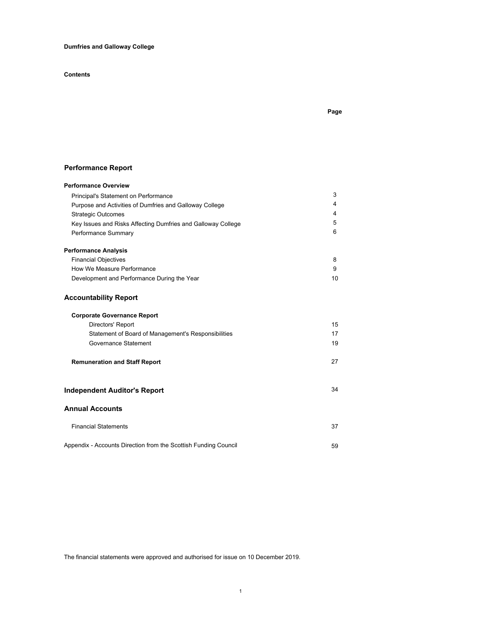# **Dumfries and Galloway College**

# **Contents**

# **Page**

# **Performance Report**

| <b>Performance Overview</b>                                     |    |
|-----------------------------------------------------------------|----|
| Principal's Statement on Performance                            | 3  |
| Purpose and Activities of Dumfries and Galloway College         | 4  |
| <b>Strategic Outcomes</b>                                       | 4  |
| Key Issues and Risks Affecting Dumfries and Galloway College    | 5  |
| Performance Summary                                             | 6  |
| <b>Performance Analysis</b>                                     |    |
| <b>Financial Objectives</b>                                     | 8  |
| How We Measure Performance                                      | 9  |
| Development and Performance During the Year                     | 10 |
| <b>Accountability Report</b>                                    |    |
| <b>Corporate Governance Report</b>                              |    |
| Directors' Report                                               | 15 |
| Statement of Board of Management's Responsibilities             | 17 |
| Governance Statement                                            | 19 |
| <b>Remuneration and Staff Report</b>                            | 27 |
| <b>Independent Auditor's Report</b>                             | 34 |
| <b>Annual Accounts</b>                                          |    |
| <b>Financial Statements</b>                                     | 37 |
| Appendix - Accounts Direction from the Scottish Funding Council | 59 |

The financial statements were approved and authorised for issue on 10 December 2019.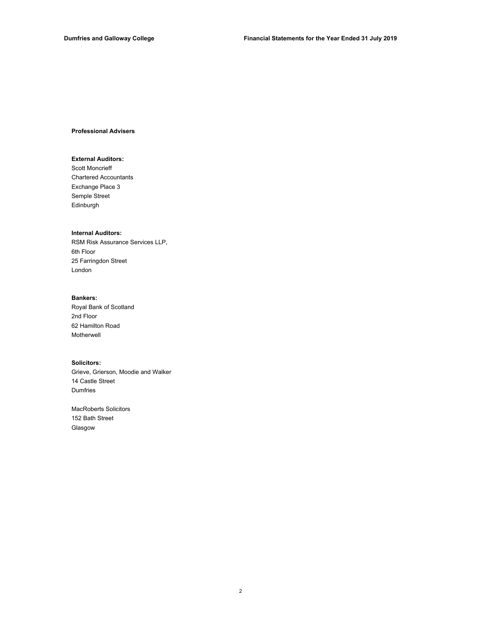### **Professional Advisers**

## **External Auditors:**

Chartered Accountants Semple Street Edinburgh Exchange Place 3 Scott Moncrieff

### **Internal Auditors:**

RSM Risk Assurance Services LLP, 6th Floor 25 Farringdon Street London

## **Bankers:**

Royal Bank of Scotland 2nd Floor 62 Hamilton Road Motherwell

## **Solicitors:**

Grieve, Grierson, Moodie and Walker Dumfries 14 Castle Street

MacRoberts Solicitors 152 Bath Street Glasgow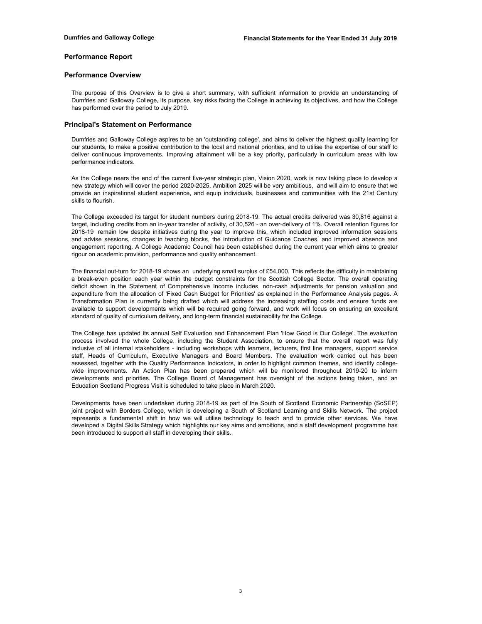## **Performance Report**

## **Performance Overview**

The purpose of this Overview is to give a short summary, with sufficient information to provide an understanding of Dumfries and Galloway College, its purpose, key risks facing the College in achieving its objectives, and how the College has performed over the period to July 2019.

## **Principal's Statement on Performance**

Dumfries and Galloway College aspires to be an 'outstanding college', and aims to deliver the highest quality learning for our students, to make a positive contribution to the local and national priorities, and to utilise the expertise of our staff to deliver continuous improvements. Improving attainment will be a key priority, particularly in curriculum areas with low performance indicators.

As the College nears the end of the current five-year strategic plan, Vision 2020, work is now taking place to develop a new strategy which will cover the period 2020-2025. Ambition 2025 will be very ambitious, and will aim to ensure that we provide an inspirational student experience, and equip individuals, businesses and communities with the 21st Century skills to flourish.

The College exceeded its target for student numbers during 2018-19. The actual credits delivered was 30,816 against a target, including credits from an in-year transfer of activity, of 30,526 - an over-delivery of 1%. Overall retention figures for 2018-19 remain low despite initiatives during the year to improve this, which included improved information sessions and advise sessions, changes in teaching blocks, the introduction of Guidance Coaches, and improved absence and engagement reporting. A College Academic Council has been established during the current year which aims to greater rigour on academic provision, performance and quality enhancement.

The financial out-turn for 2018-19 shows an underlying small surplus of £54,000. This reflects the difficulty in maintaining a break-even position each year within the budget constraints for the Scottish College Sector. The overall operating deficit shown in the Statement of Comprehensive Income includes non-cash adjustments for pension valuation and expenditure from the allocation of 'Fixed Cash Budget for Priorities' as explained in the Performance Analysis pages. A Transformation Plan is currently being drafted which will address the increasing staffing costs and ensure funds are available to support developments which will be required going forward, and work will focus on ensuring an excellent standard of quality of curriculum delivery, and long-term financial sustainability for the College.

The College has updated its annual Self Evaluation and Enhancement Plan 'How Good is Our College'. The evaluation process involved the whole College, including the Student Association, to ensure that the overall report was fully inclusive of all internal stakeholders - including workshops with learners, lecturers, first line managers, support service staff, Heads of Curriculum, Executive Managers and Board Members. The evaluation work carried out has been assessed, together with the Quality Performance Indicators, in order to highlight common themes, and identify collegewide improvements. An Action Plan has been prepared which will be monitored throughout 2019-20 to inform developments and priorities. The College Board of Management has oversight of the actions being taken, and an Education Scotland Progress Visit is scheduled to take place in March 2020.

Developments have been undertaken during 2018-19 as part of the South of Scotland Economic Partnership (SoSEP) joint project with Borders College, which is developing a South of Scotland Learning and Skills Network. The project represents a fundamental shift in how we will utilise technology to teach and to provide other services. We have developed a Digital Skills Strategy which highlights our key aims and ambitions, and a staff development programme has been introduced to support all staff in developing their skills.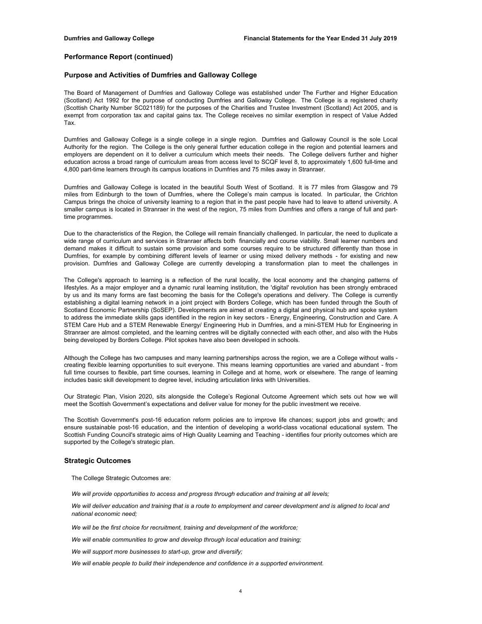## **Purpose and Activities of Dumfries and Galloway College**

The Board of Management of Dumfries and Galloway College was established under The Further and Higher Education (Scotland) Act 1992 for the purpose of conducting Dumfries and Galloway College. The College is a registered charity (Scottish Charity Number SC021189) for the purposes of the Charities and Trustee Investment (Scotland) Act 2005, and is exempt from corporation tax and capital gains tax. The College receives no similar exemption in respect of Value Added Tax.

Dumfries and Galloway College is a single college in a single region. Dumfries and Galloway Council is the sole Local Authority for the region. The College is the only general further education college in the region and potential learners and employers are dependent on it to deliver a curriculum which meets their needs. The College delivers further and higher education across a broad range of curriculum areas from access level to SCQF level 8, to approximately 1,600 full-time and 4,800 part-time learners through its campus locations in Dumfries and 75 miles away in Stranraer.

Dumfries and Galloway College is located in the beautiful South West of Scotland. It is 77 miles from Glasgow and 79 miles from Edinburgh to the town of Dumfries, where the College's main campus is located. In particular, the Crichton Campus brings the choice of university learning to a region that in the past people have had to leave to attend university. A smaller campus is located in Stranraer in the west of the region, 75 miles from Dumfries and offers a range of full and parttime programmes.

Due to the characteristics of the Region, the College will remain financially challenged. In particular, the need to duplicate a wide range of curriculum and services in Stranraer affects both financially and course viability. Small learner numbers and demand makes it difficult to sustain some provision and some courses require to be structured differently than those in Dumfries, for example by combining different levels of learner or using mixed delivery methods - for existing and new provision. Dumfries and Galloway College are currently developing a transformation plan to meet the challenges in

The College's approach to learning is a reflection of the rural locality, the local economy and the changing patterns of lifestyles. As a major employer and a dynamic rural learning institution, the 'digital' revolution has been strongly embraced by us and its many forms are fast becoming the basis for the College's operations and delivery. The College is currently establishing a digital learning network in a joint project with Borders College, which has been funded through the South of Scotland Economic Partnership (SoSEP). Developments are aimed at creating a digital and physical hub and spoke system to address the immediate skills gaps identified in the region in key sectors - Energy, Engineering, Construction and Care. A STEM Care Hub and a STEM Renewable Energy/ Engineering Hub in Dumfries, and a mini-STEM Hub for Engineering in Stranraer are almost completed, and the learning centres will be digitally connected with each other, and also with the Hubs being developed by Borders College. Pilot spokes have also been developed in schools.

Although the College has two campuses and many learning partnerships across the region, we are a College without walls creating flexible learning opportunities to suit everyone. This means learning opportunities are varied and abundant - from full time courses to flexible, part time courses, learning in College and at home, work or elsewhere. The range of learning includes basic skill development to degree level, including articulation links with Universities.

Our Strategic Plan, Vision 2020, sits alongside the College's Regional Outcome Agreement which sets out how we will meet the Scottish Government's expectations and deliver value for money for the public investment we receive.

The Scottish Government's post-16 education reform policies are to improve life chances; support jobs and growth; and ensure sustainable post-16 education, and the intention of developing a world-class vocational educational system. The Scottish Funding Council's strategic aims of High Quality Learning and Teaching - identifies four priority outcomes which are supported by the College's strategic plan.

### **Strategic Outcomes**

The College Strategic Outcomes are:

*We will provide opportunities to access and progress through education and training at all levels;*

We will deliver education and training that is a route to employment and career development and is aligned to local and *national economic need;*

*We will be the first choice for recruitment, training and development of the workforce;*

*We will enable communities to grow and develop through local education and training;*

*We will support more businesses to start-up, grow and diversify;*

*We will enable people to build their independence and confidence in a supported environment.*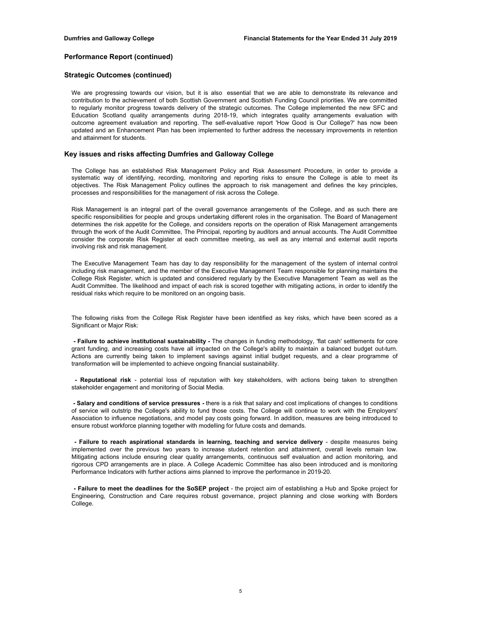## **Strategic Outcomes (continued)**

We are progressing towards our vision, but it is also essential that we are able to demonstrate its relevance and contribution to the achievement of both Scottish Government and Scottish Funding Council priorities. We are committed to regularly monitor progress towards delivery of the strategic outcomes. The College implemented the new SFC and Education Scotland quality arrangements during 2018-19, which integrates quality arrangements evaluation with outcome agreement evaluation and reporting. The self-evaluative report 'How Good is Our College?' has now been updated and an Enhancement Plan has been implemented to further address the necessary improvements in retention and attainment for students.

## **Key issues and risks affecting Dumfries and Galloway College**

The College has an established Risk Management Policy and Risk Assessment Procedure, in order to provide a systematic way of identifying, recording, monitoring and reporting risks to ensure the College is able to meet its objectives. The Risk Management Policy outlines the approach to risk management and defines the key principles, processes and responsibilities for the management of risk across the College.

Risk Management is an integral part of the overall governance arrangements of the College, and as such there are specific responsibilities for people and groups undertaking different roles in the organisation. The Board of Management determines the risk appetite for the College, and considers reports on the operation of Risk Management arrangements through the work of the Audit Committee, The Principal, reporting by auditors and annual accounts. The Audit Committee consider the corporate Risk Register at each committee meeting, as well as any internal and external audit reports involving risk and risk management.

The Executive Management Team has day to day responsibility for the management of the system of internal control including risk management, and the member of the Executive Management Team responsible for planning maintains the College Risk Register, which is updated and considered regularly by the Executive Management Team as well as the Audit Committee. The likelihood and impact of each risk is scored together with mitigating actions, in order to identify the residual risks which require to be monitored on an ongoing basis.

The following risks from the College Risk Register have been identified as key risks, which have been scored as a Significant or Major Risk:

**- Failure to achieve institutional sustainability -** The changes in funding methodology, 'flat cash' settlements for core grant funding, and increasing costs have all impacted on the College's ability to maintain a balanced budget out-turn. Actions are currently being taken to implement savings against initial budget requests, and a clear programme of transformation will be implemented to achieve ongoing financial sustainability.

**- Reputational risk** - potential loss of reputation with key stakeholders, with actions being taken to strengthen stakeholder engagement and monitoring of Social Media.

**- Salary and conditions of service pressures -** there is a risk that salary and cost implications of changes to conditions of service will outstrip the College's ability to fund those costs. The College will continue to work with the Employers' Association to influence negotiations, and model pay costs going forward. In addition, measures are being introduced to ensure robust workforce planning together with modelling for future costs and demands.

**- Failure to reach aspirational standards in learning, teaching and service delivery** - despite measures being implemented over the previous two years to increase student retention and attainment, overall levels remain low. Mitigating actions include ensuring clear quality arrangements, continuous self evaluation and action monitoring, and rigorous CPD arrangements are in place. A College Academic Committee has also been introduced and is monitoring Performance Indicators with further actions aims planned to improve the performance in 2019-20.

**- Failure to meet the deadlines for the SoSEP project** - the project aim of establishing a Hub and Spoke project for Engineering, Construction and Care requires robust governance, project planning and close working with Borders College.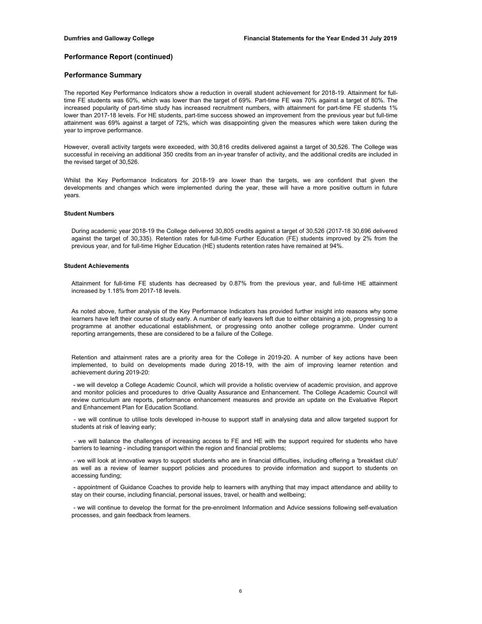## **Performance Summary**

The reported Key Performance Indicators show a reduction in overall student achievement for 2018-19. Attainment for fulltime FE students was 60%, which was lower than the target of 69%. Part-time FE was 70% against a target of 80%. The increased popularity of part-time study has increased recruitment numbers, with attainment for part-time FE students 1% lower than 2017-18 levels. For HE students, part-time success showed an improvement from the previous year but full-time attainment was 69% against a target of 72%, which was disappointing given the measures which were taken during the year to improve performance.

However, overall activity targets were exceeded, with 30,816 credits delivered against a target of 30,526. The College was successful in receiving an additional 350 credits from an in-year transfer of activity, and the additional credits are included in the revised target of 30.526.

Whilst the Key Performance Indicators for 2018-19 are lower than the targets, we are confident that given the developments and changes which were implemented during the year, these will have a more positive outturn in future years.

#### **Student Numbers**

During academic year 2018-19 the College delivered 30,805 credits against a target of 30,526 (2017-18 30,696 delivered against the target of 30,335). Retention rates for full-time Further Education (FE) students improved by 2% from the previous year, and for full-time Higher Education (HE) students retention rates have remained at 94%.

#### **Student Achievements**

Attainment for full-time FE students has decreased by 0.87% from the previous year, and full-time HE attainment increased by 1.18% from 2017-18 levels.

As noted above, further analysis of the Key Performance Indicators has provided further insight into reasons why some learners have left their course of study early. A number of early leavers left due to either obtaining a job, progressing to a programme at another educational establishment, or progressing onto another college programme. Under current reporting arrangements, these are considered to be a failure of the College.

Retention and attainment rates are a priority area for the College in 2019-20. A number of key actions have been implemented, to build on developments made during 2018-19, with the aim of improving learner retention and achievement during 2019-20:

- we will develop a College Academic Council, which will provide a holistic overview of academic provision, and approve and monitor policies and procedures to drive Quality Assurance and Enhancement. The College Academic Council will review curriculum are reports, performance enhancement measures and provide an update on the Evaluative Report and Enhancement Plan for Education Scotland.

- we will continue to utilise tools developed in-house to support staff in analysing data and allow targeted support for students at risk of leaving early;

- we will balance the challenges of increasing access to FE and HE with the support required for students who have barriers to learning - including transport within the region and financial problems;

- we will look at innovative ways to support students who are in financial difficulties, including offering a 'breakfast club' as well as a review of learner support policies and procedures to provide information and support to students on accessing funding;

- appointment of Guidance Coaches to provide help to learners with anything that may impact attendance and ability to stay on their course, including financial, personal issues, travel, or health and wellbeing;

- we will continue to develop the format for the pre-enrolment Information and Advice sessions following self-evaluation processes, and gain feedback from learners.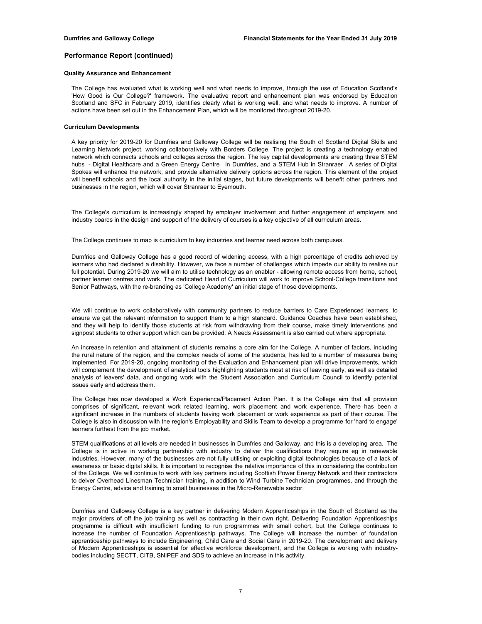## **Quality Assurance and Enhancement**

The College has evaluated what is working well and what needs to improve, through the use of Education Scotland's 'How Good is Our College?' framework. The evaluative report and enhancement plan was endorsed by Education Scotland and SFC in February 2019, identifies clearly what is working well, and what needs to improve. A number of actions have been set out in the Enhancement Plan, which will be monitored throughout 2019-20.

#### **Curriculum Developments**

A key priority for 2019-20 for Dumfries and Galloway College will be realising the South of Scotland Digital Skills and Learning Network project, working collaboratively with Borders College. The project is creating a technology enabled network which connects schools and colleges across the region. The key capital developments are creating three STEM hubs - Digital Healthcare and a Green Energy Centre in Dumfries, and a STEM Hub in Stranraer . A series of Digital Spokes will enhance the network, and provide alternative delivery options across the region. This element of the project will benefit schools and the local authority in the initial stages, but future developments will benefit other partners and businesses in the region, which will cover Stranraer to Eyemouth.

The College's curriculum is increasingly shaped by employer involvement and further engagement of employers and industry boards in the design and support of the delivery of courses is a key objective of all curriculum areas.

The College continues to map is curriculum to key industries and learner need across both campuses.

Dumfries and Galloway College has a good record of widening access, with a high percentage of credits achieved by learners who had declared a disability. However, we face a number of challenges which impede our ability to realise our full potential. During 2019-20 we will aim to utilise technology as an enabler - allowing remote access from home, school, partner learner centres and work. The dedicated Head of Curriculum will work to improve School-College transitions and Senior Pathways, with the re-branding as 'College Academy' an initial stage of those developments.

We will continue to work collaboratively with community partners to reduce barriers to Care Experienced learners, to ensure we get the relevant information to support them to a high standard. Guidance Coaches have been established, and they will help to identify those students at risk from withdrawing from their course, make timely interventions and signpost students to other support which can be provided. A Needs Assessment is also carried out where appropriate.

An increase in retention and attainment of students remains a core aim for the College. A number of factors, including the rural nature of the region, and the complex needs of some of the students, has led to a number of measures being implemented. For 2019-20, ongoing monitoring of the Evaluation and Enhancement plan will drive improvements, which will complement the development of analytical tools highlighting students most at risk of leaving early, as well as detailed analysis of leavers' data, and ongoing work with the Student Association and Curriculum Council to identify potential issues early and address them.

The College has now developed a Work Experience/Placement Action Plan. It is the College aim that all provision comprises of significant, relevant work related learning, work placement and work experience. There has been a significant increase in the numbers of students having work placement or work experience as part of their course. The College is also in discussion with the region's Employability and Skills Team to develop a programme for 'hard to engage' learners furthest from the job market.

STEM qualifications at all levels are needed in businesses in Dumfries and Galloway, and this is a developing area. The College is in active in working partnership with industry to deliver the qualifications they require eg in renewable industries. However, many of the businesses are not fully utilising or exploiting digital technologies because of a lack of awareness or basic digital skills. It is important to recognise the relative importance of this in considering the contribution of the College. We will continue to work with key partners including Scottish Power Energy Network and their contractors to delver Overhead Linesman Technician training, in addition to Wind Turbine Technician programmes, and through the Energy Centre, advice and training to small businesses in the Micro-Renewable sector.

Dumfries and Galloway College is a key partner in delivering Modern Apprenticeships in the South of Scotland as the major providers of off the job training as well as contracting in their own right. Delivering Foundation Apprenticeships programme is difficult with insufficient funding to run programmes with small cohort, but the College continues to increase the number of Foundation Apprenticeship pathways. The College will increase the number of foundation apprenticeship pathways to include Engineering, Child Care and Social Care in 2019-20. The development and delivery of Modern Apprenticeships is essential for effective workforce development, and the College is working with industrybodies including SECTT, CITB, SNIPEF and SDS to achieve an increase in this activity.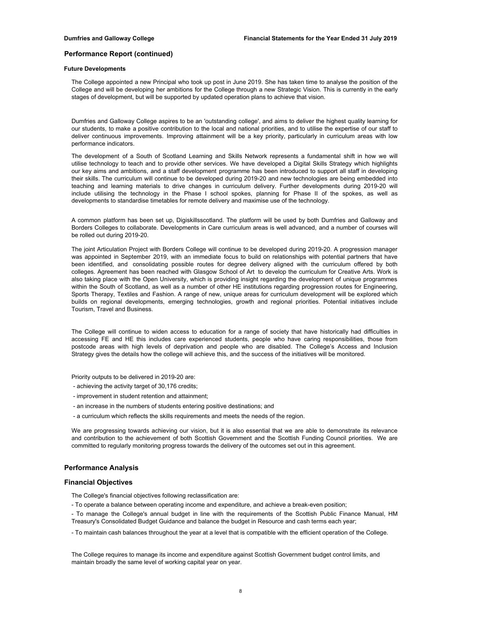#### **Future Developments**

The College appointed a new Principal who took up post in June 2019. She has taken time to analyse the position of the College and will be developing her ambitions for the College through a new Strategic Vision. This is currently in the early stages of development, but will be supported by updated operation plans to achieve that vision.

Dumfries and Galloway College aspires to be an 'outstanding college', and aims to deliver the highest quality learning for our students, to make a positive contribution to the local and national priorities, and to utilise the expertise of our staff to deliver continuous improvements. Improving attainment will be a key priority, particularly in curriculum areas with low performance indicators.

The development of a South of Scotland Learning and Skills Network represents a fundamental shift in how we will utilise technology to teach and to provide other services. We have developed a Digital Skills Strategy which highlights our key aims and ambitions, and a staff development programme has been introduced to support all staff in developing their skills. The curriculum will continue to be developed during 2019-20 and new technologies are being embedded into teaching and learning materials to drive changes in curriculum delivery. Further developments during 2019-20 will include utilising the technology in the Phase I school spokes, planning for Phase II of the spokes, as well as developments to standardise timetables for remote delivery and maximise use of the technology.

A common platform has been set up, Digiskillsscotland. The platform will be used by both Dumfries and Galloway and Borders Colleges to collaborate. Developments in Care curriculum areas is well advanced, and a number of courses will be rolled out during 2019-20.

The joint Articulation Project with Borders College will continue to be developed during 2019-20. A progression manager was appointed in September 2019, with an immediate focus to build on relationships with potential partners that have been identified, and consolidating possible routes for degree delivery aligned with the curriculum offered by both colleges. Agreement has been reached with Glasgow School of Art to develop the curriculum for Creative Arts. Work is also taking place with the Open University, which is providing insight regarding the development of unique programmes within the South of Scotland, as well as a number of other HE institutions regarding progression routes for Engineering, Sports Therapy, Textiles and Fashion. A range of new, unique areas for curriculum development will be explored which builds on regional developments, emerging technologies, growth and regional priorities. Potential initiatives include Tourism, Travel and Business.

The College will continue to widen access to education for a range of society that have historically had difficulties in accessing FE and HE this includes care experienced students, people who have caring responsibilities, those from postcode areas with high levels of deprivation and people who are disabled. The College's Access and Inclusion Strategy gives the details how the college will achieve this, and the success of the initiatives will be monitored.

Priority outputs to be delivered in 2019-20 are:

- achieving the activity target of 30,176 credits;
- improvement in student retention and attainment;
- an increase in the numbers of students entering positive destinations; and
- a curriculum which reflects the skills requirements and meets the needs of the region.

We are progressing towards achieving our vision, but it is also essential that we are able to demonstrate its relevance and contribution to the achievement of both Scottish Government and the Scottish Funding Council priorities. We are committed to regularly monitoring progress towards the delivery of the outcomes set out in this agreement.

## **Performance Analysis**

## **Financial Objectives**

The College's financial objectives following reclassification are:

- To operate a balance between operating income and expenditure, and achieve a break-even position;
- To manage the College's annual budget in line with the requirements of the Scottish Public Finance Manual, HM Treasury's Consolidated Budget Guidance and balance the budget in Resource and cash terms each year;
- To maintain cash balances throughout the year at a level that is compatible with the efficient operation of the College.

The College requires to manage its income and expenditure against Scottish Government budget control limits, and maintain broadly the same level of working capital year on year.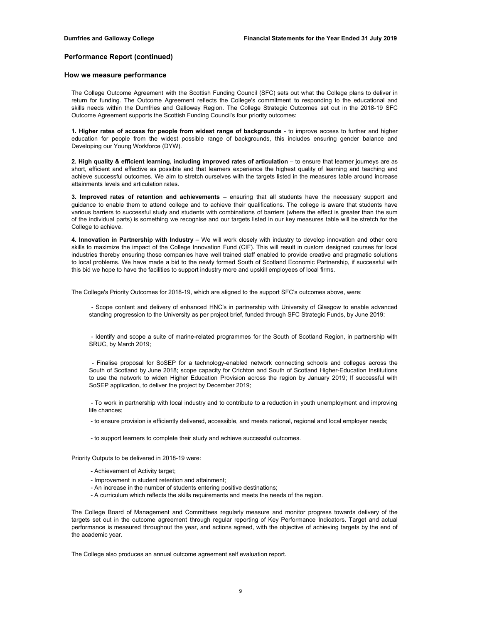## **How we measure performance**

The College Outcome Agreement with the Scottish Funding Council (SFC) sets out what the College plans to deliver in return for funding. The Outcome Agreement reflects the College's commitment to responding to the educational and skills needs within the Dumfries and Galloway Region. The College Strategic Outcomes set out in the 2018-19 SFC Outcome Agreement supports the Scottish Funding Council's four priority outcomes:

**1. Higher rates of access for people from widest range of backgrounds** - to improve access to further and higher education for people from the widest possible range of backgrounds, this includes ensuring gender balance and Developing our Young Workforce (DYW).

**2. High quality & efficient learning, including improved rates of articulation** – to ensure that learner journeys are as short, efficient and effective as possible and that learners experience the highest quality of learning and teaching and achieve successful outcomes. We aim to stretch ourselves with the targets listed in the measures table around increase attainments levels and articulation rates.

**3. Improved rates of retention and achievements** – ensuring that all students have the necessary support and guidance to enable them to attend college and to achieve their qualifications. The college is aware that students have various barriers to successful study and students with combinations of barriers (where the effect is greater than the sum of the individual parts) is something we recognise and our targets listed in our key measures table will be stretch for the College to achieve.

**4. Innovation in Partnership with Industry** – We will work closely with industry to develop innovation and other core skills to maximize the impact of the College Innovation Fund (CIF). This will result in custom designed courses for local industries thereby ensuring those companies have well trained staff enabled to provide creative and pragmatic solutions to local problems. We have made a bid to the newly formed South of Scotland Economic Partnership, if successful with this bid we hope to have the facilities to support industry more and upskill employees of local firms.

The College's Priority Outcomes for 2018-19, which are aligned to the support SFC's outcomes above, were:

- Scope content and delivery of enhanced HNC's in partnership with University of Glasgow to enable advanced standing progression to the University as per project brief, funded through SFC Strategic Funds, by June 2019:

- Identify and scope a suite of marine-related programmes for the South of Scotland Region, in partnership with SRUC, by March 2019;

- Finalise proposal for SoSEP for a technology-enabled network connecting schools and colleges across the South of Scotland by June 2018; scope capacity for Crichton and South of Scotland Higher-Education Institutions to use the network to widen Higher Education Provision across the region by January 2019; If successful with SoSEP application, to deliver the project by December 2019;

- To work in partnership with local industry and to contribute to a reduction in youth unemployment and improving life chances;

- to ensure provision is efficiently delivered, accessible, and meets national, regional and local employer needs;

- to support learners to complete their study and achieve successful outcomes.

Priority Outputs to be delivered in 2018-19 were:

- Achievement of Activity target;
- Improvement in student retention and attainment;
- An increase in the number of students entering positive destinations;
- A curriculum which reflects the skills requirements and meets the needs of the region.

The College Board of Management and Committees regularly measure and monitor progress towards delivery of the targets set out in the outcome agreement through regular reporting of Key Performance Indicators. Target and actual performance is measured throughout the year, and actions agreed, with the objective of achieving targets by the end of the academic year.

The College also produces an annual outcome agreement self evaluation report.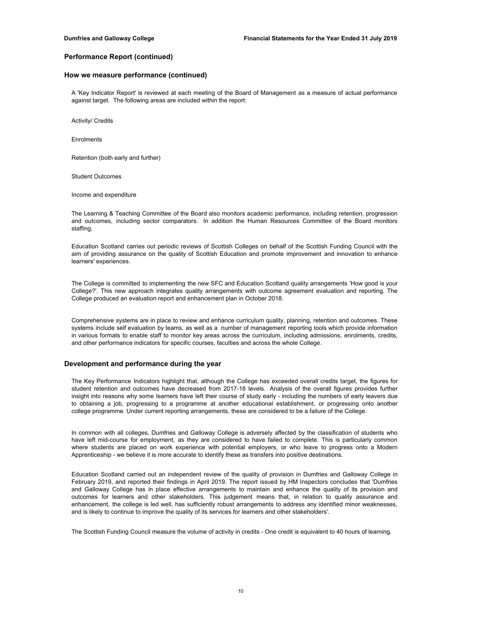## **How we measure performance (continued)**

A 'Key Indicator Report' is reviewed at each meeting of the Board of Management as a measure of actual performance against target. The following areas are included within the report:

Activity/ Credits

Enrolments

Retention (both early and further)

Student Outcomes

Income and expenditure

The Learning & Teaching Committee of the Board also monitors academic performance, including retention, progression and outcomes, including sector comparators. In addition the Human Resources Committee of the Board monitors staffing.

Education Scotland carries out periodic reviews of Scottish Colleges on behalf of the Scottish Funding Council with the aim of providing assurance on the quality of Scottish Education and promote improvement and innovation to enhance learners' experiences.

The College is committed to implementing the new SFC and Education Scotland quality arrangements 'How good is your College?'. This new approach integrates quality arrangements with outcome agreement evaluation and reporting. The College produced an evaluation report and enhancement plan in October 2018.

Comprehensive systems are in place to review and enhance curriculum quality, planning, retention and outcomes. These systems include self evaluation by teams, as well as a number of management reporting tools which provide information in various formats to enable staff to monitor key areas across the curriculum, including admissions, enrolments, credits, and other performance indicators for specific courses, faculties and across the whole College.

## **Development and performance during the year**

The Key Performance Indicators highlight that, although the College has exceeded overall credits target, the figures for student retention and outcomes have decreased from 2017-18 levels. Analysis of the overall figures provides further insight into reasons why some learners have left their course of study early - including the numbers of early leavers due to obtaining a job, progressing to a programme at another educational establishment, or progressing onto another college programme. Under current reporting arrangements, these are considered to be a failure of the College.

In common with all colleges, Dumfries and Galloway College is adversely affected by the classification of students who have left mid-course for employment, as they are considered to have failed to complete. This is particularly common where students are placed on work experience with potential employers, or who leave to progress onto a Modern Apprenticeship - we believe it is more accurate to identify these as transfers into positive destinations.

Education Scotland carried out an independent review of the quality of provision in Dumfries and Galloway College in February 2019, and reported their findings in April 2019. The report issued by HM Inspectors concludes that 'Dumfries and Galloway College has in place effective arrangements to maintain and enhance the quality of its provision and outcomes for learners and other stakeholders. This judgement means that, in relation to quality assurance and enhancement, the college is led well, has sufficiently robust arrangements to address any identified minor weaknesses, and is likely to continue to improve the quality of its services for learners and other stakeholders'.

The Scottish Funding Council measure the volume of activity in credits - One credit is equivalent to 40 hours of learning.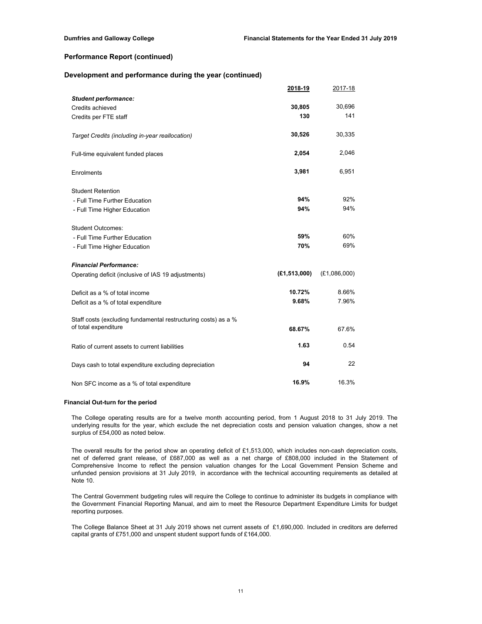## **Development and performance during the year (continued)**

|                                                                | 2018-19        | 2017-18      |
|----------------------------------------------------------------|----------------|--------------|
| <b>Student performance:</b>                                    |                |              |
| Credits achieved                                               | 30,805         | 30,696       |
| Credits per FTE staff                                          | 130            | 141          |
| Target Credits (including in-year reallocation)                | 30,526         | 30,335       |
| Full-time equivalent funded places                             | 2,054          | 2,046        |
| Enrolments                                                     | 3,981          | 6,951        |
| <b>Student Retention</b>                                       |                |              |
| - Full Time Further Education                                  | 94%            | 92%          |
| - Full Time Higher Education                                   | 94%            | 94%          |
| <b>Student Outcomes:</b>                                       |                |              |
| - Full Time Further Education                                  | 59%            | 60%          |
| - Full Time Higher Education                                   | 70%            | 69%          |
| <b>Financial Performance:</b>                                  |                |              |
| Operating deficit (inclusive of IAS 19 adjustments)            | (E1, 513, 000) | (E1,086,000) |
| Deficit as a % of total income                                 | 10.72%         | 8.66%        |
| Deficit as a % of total expenditure                            | 9.68%          | 7.96%        |
| Staff costs (excluding fundamental restructuring costs) as a % |                |              |
| of total expenditure                                           | 68.67%         | 67.6%        |
| Ratio of current assets to current liabilities                 | 1.63           | 0.54         |
| Days cash to total expenditure excluding depreciation          | 94             | 22           |
| Non SFC income as a % of total expenditure                     | 16.9%          | 16.3%        |

## **Financial Out-turn for the period**

The College operating results are for a twelve month accounting period, from 1 August 2018 to 31 July 2019. The underlying results for the year, which exclude the net depreciation costs and pension valuation changes, show a net surplus of £54,000 as noted below.

The overall results for the period show an operating deficit of £1,513,000, which includes non-cash depreciation costs, net of deferred grant release, of £687,000 as well as a net charge of £808,000 included in the Statement of Comprehensive Income to reflect the pension valuation changes for the Local Government Pension Scheme and unfunded pension provisions at 31 July 2019, in accordance with the technical accounting requirements as detailed at Note 10.

The Central Government budgeting rules will require the College to continue to administer its budgets in compliance with the Government Financial Reporting Manual, and aim to meet the Resource Department Expenditure Limits for budget reporting purposes.

The College Balance Sheet at 31 July 2019 shows net current assets of £1,690,000. Included in creditors are deferred capital grants of £751,000 and unspent student support funds of £164,000.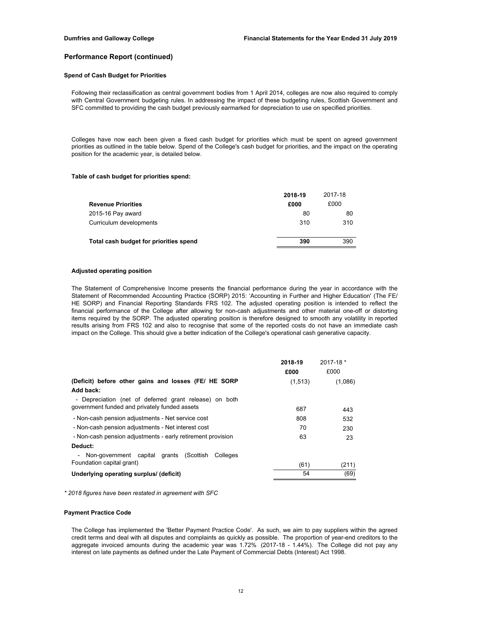## **Spend of Cash Budget for Priorities**

Following their reclassification as central government bodies from 1 April 2014, colleges are now also required to comply with Central Government budgeting rules. In addressing the impact of these budgeting rules, Scottish Government and SFC committed to providing the cash budget previously earmarked for depreciation to use on specified priorities.

Colleges have now each been given a fixed cash budget for priorities which must be spent on agreed government priorities as outlined in the table below. Spend of the College's cash budget for priorities, and the impact on the operating position for the academic year, is detailed below.

#### **Table of cash budget for priorities spend:**

|                                        | 2018-19 | 2017-18 |
|----------------------------------------|---------|---------|
| <b>Revenue Priorities</b>              | £000    | £000    |
| 2015-16 Pay award                      | 80      | 80      |
| Curriculum developments                | 310     | 310     |
| Total cash budget for priorities spend | 390     | 390     |

### **Adjusted operating position**

The Statement of Comprehensive Income presents the financial performance during the year in accordance with the Statement of Recommended Accounting Practice (SORP) 2015: 'Accounting in Further and Higher Education' (The FE/ HE SORP) and Financial Reporting Standards FRS 102. The adjusted operating position is intended to reflect the financial performance of the College after allowing for non-cash adjustments and other material one-off or distorting items required by the SORP. The adjusted operating position is therefore designed to smooth any volatility in reported results arising from FRS 102 and also to recognise that some of the reported costs do not have an immediate cash impact on the College. This should give a better indication of the College's operational cash generative capacity.

|                                                             | 2018-19 | $2017 - 18$ * |
|-------------------------------------------------------------|---------|---------------|
|                                                             | £000    | £000          |
| (Deficit) before other gains and losses (FE/ HE SORP        | (1,513) | (1,086)       |
| Add back:                                                   |         |               |
| - Depreciation (net of deferred grant release) on both      |         |               |
| government funded and privately funded assets               | 687     | 443           |
| - Non-cash pension adjustments - Net service cost           | 808     | 532           |
| - Non-cash pension adjustments - Net interest cost          | 70      | 230           |
| - Non-cash pension adjustments - early retirement provision | 63      | 23            |
| Deduct:                                                     |         |               |
| Non-government capital grants (Scottish<br>Colleges         |         |               |
| Foundation capital grant)                                   | (61)    | (211)         |
| Underlying operating surplus/ (deficit)                     | 54      | (69)          |

*\* 2018 figures have been restated in agreement with SFC*

## **Payment Practice Code**

The College has implemented the 'Better Payment Practice Code'. As such, we aim to pay suppliers within the agreed credit terms and deal with all disputes and complaints as quickly as possible. The proportion of year-end creditors to the aggregate invoiced amounts during the academic year was 1.72% (2017-18 - 1.44%). The College did not pay any interest on late payments as defined under the Late Payment of Commercial Debts (Interest) Act 1998.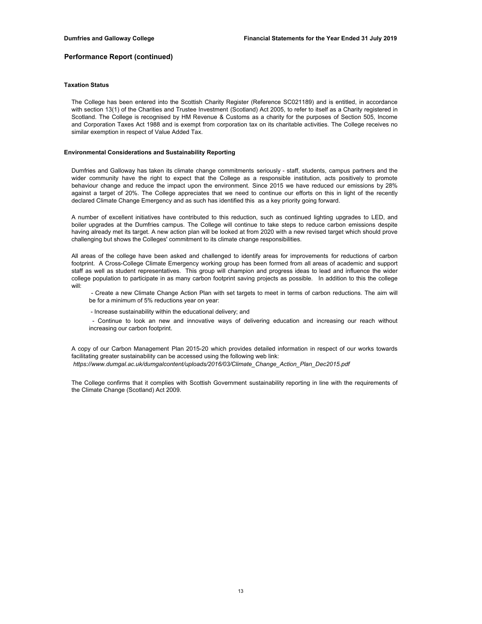### **Taxation Status**

The College has been entered into the Scottish Charity Register (Reference SC021189) and is entitled, in accordance with section 13(1) of the Charities and Trustee Investment (Scotland) Act 2005, to refer to itself as a Charity registered in Scotland. The College is recognised by HM Revenue & Customs as a charity for the purposes of Section 505, Income and Corporation Taxes Act 1988 and is exempt from corporation tax on its charitable activities. The College receives no similar exemption in respect of Value Added Tax.

## **Environmental Considerations and Sustainability Reporting**

Dumfries and Galloway has taken its climate change commitments seriously - staff, students, campus partners and the wider community have the right to expect that the College as a responsible institution, acts positively to promote behaviour change and reduce the impact upon the environment. Since 2015 we have reduced our emissions by 28% against a target of 20%. The College appreciates that we need to continue our efforts on this in light of the recently declared Climate Change Emergency and as such has identified this as a key priority going forward.

A number of excellent initiatives have contributed to this reduction, such as continued lighting upgrades to LED, and boiler upgrades at the Dumfries campus. The College will continue to take steps to reduce carbon emissions despite having already met its target. A new action plan will be looked at from 2020 with a new revised target which should prove challenging but shows the Colleges' commitment to its climate change responsibilities.

All areas of the college have been asked and challenged to identify areas for improvements for reductions of carbon footprint. A Cross-College Climate Emergency working group has been formed from all areas of academic and support staff as well as student representatives. This group will champion and progress ideas to lead and influence the wider college population to participate in as many carbon footprint saving projects as possible. In addition to this the college will:

- Create a new Climate Change Action Plan with set targets to meet in terms of carbon reductions. The aim will be for a minimum of 5% reductions year on year:

- Increase sustainability within the educational delivery; and

- Continue to look an new and innovative ways of delivering education and increasing our reach without increasing our carbon footprint.

A copy of our Carbon Management Plan 2015-20 which provides detailed information in respect of our works towards facilitating greater sustainability can be accessed using the following web link:  *https://www.dumgal.ac.uk/dumgalcontent/uploads/2016/03/Climate\_Change\_Action\_Plan\_Dec2015.pdf*

The College confirms that it complies with Scottish Government sustainability reporting in line with the requirements of the Climate Change (Scotland) Act 2009.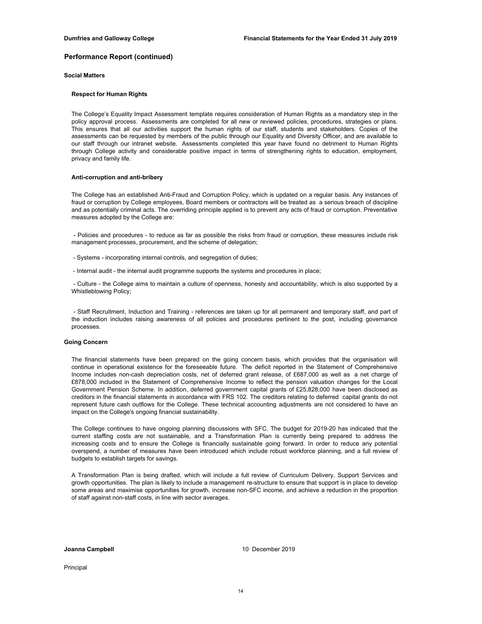## **Social Matters**

#### **Respect for Human Rights**

The College's Equality Impact Assessment template requires consideration of Human Rights as a mandatory step in the policy approval process. Assessments are completed for all new or reviewed policies, procedures, strategies or plans. This ensures that all our activities support the human rights of our staff, students and stakeholders. Copies of the assessments can be requested by members of the public through our Equality and Diversity Officer, and are available to our staff through our intranet website. Assessments completed this year have found no detriment to Human Rights through College activity and considerable positive impact in terms of strengthening rights to education, employment, privacy and family life.

## **Anti-corruption and anti-bribery**

The College has an established Anti-Fraud and Corruption Policy, which is updated on a regular basis. Any instances of fraud or corruption by College employees, Board members or contractors will be treated as a serious breach of discipline and as potentially criminal acts. The overriding principle applied is to prevent any acts of fraud or corruption. Preventative measures adopted by the College are:

- Policies and procedures - to reduce as far as possible the risks from fraud or corruption, these measures include risk management processes, procurement, and the scheme of delegation;

- Systems incorporating internal controls, and segregation of duties;
- Internal audit the internal audit programme supports the systems and procedures in place;

- Culture - the College aims to maintain a culture of openness, honesty and accountability, which is also supported by a Whistleblowing Policy;

- Staff Recruitment, Induction and Training - references are taken up for all permanent and temporary staff, and part of the induction includes raising awareness of all policies and procedures pertinent to the post, including governance processes.

#### **Going Concern**

The financial statements have been prepared on the going concern basis, which provides that the organisation will continue in operational existence for the foreseeable future. The deficit reported in the Statement of Comprehensive Income includes non-cash depreciation costs, net of deferred grant release, of £687,000 as well as a net charge of £878,000 included in the Statement of Comprehensive Income to reflect the pension valuation changes for the Local Government Pension Scheme. In addition, deferred government capital grants of £25,828,000 have been disclosed as creditors in the financial statements in accordance with FRS 102. The creditors relating to deferred capital grants do not represent future cash outflows for the College. These technical accounting adjustments are not considered to have an impact on the College's ongoing financial sustainability.

The College continues to have ongoing planning discussions with SFC. The budget for 2019-20 has indicated that the current staffing costs are not sustainable, and a Transformation Plan is currently being prepared to address the increasing costs and to ensure the College is financially sustainable going forward. In order to reduce any potential overspend, a number of measures have been introduced which include robust workforce planning, and a full review of budgets to establish targets for savings.

A Transformation Plan is being drafted, which will include a full review of Curriculum Delivery, Support Services and growth opportunities. The plan is likely to include a management re-structure to ensure that support is in place to develop some areas and maximise opportunities for growth, increase non-SFC income, and achieve a reduction in the proportion of staff against non-staff costs, in line with sector averages.

**Joanna Campbell**

10 December 2019

Principal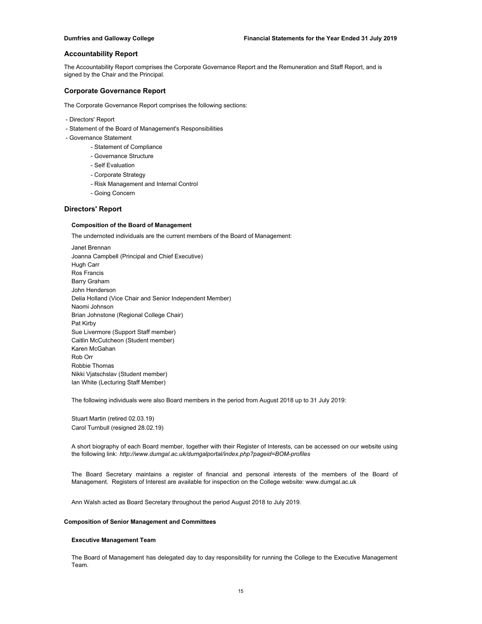The Accountability Report comprises the Corporate Governance Report and the Remuneration and Staff Report, and is signed by the Chair and the Principal.

## **Corporate Governance Report**

The Corporate Governance Report comprises the following sections:

- Directors' Report
- Statement of the Board of Management's Responsibilities
- Governance Statement
	- Statement of Compliance
	- Governance Structure
	- Self Evaluation
	- Corporate Strategy
	- Risk Management and Internal Control
	- Going Concern

## **Directors' Report**

## **Composition of the Board of Management**

The undernoted individuals are the current members of the Board of Management:

Janet Brennan Joanna Campbell (Principal and Chief Executive) Hugh Carr Ros Francis Barry Graham John Henderson Delia Holland (Vice Chair and Senior Independent Member) Naomi Johnson Brian Johnstone (Regional College Chair) Pat Kirby Sue Livermore (Support Staff member) Caitlin McCutcheon (Student member) Karen McGahan Rob Orr Robbie Thomas Nikki Vjatschslav (Student member) Ian White (Lecturing Staff Member)

The following individuals were also Board members in the period from August 2018 up to 31 July 2019:

Stuart Martin (retired 02.03.19) Carol Turnbull (resigned 28.02.19)

A short biography of each Board member, together with their Register of Interests, can be accessed on our website using the following link: *http://www.dumgal.ac.uk/dumgalportal/index.php?pageid=BOM-profiles*

The Board Secretary maintains a register of financial and personal interests of the members of the Board of Management. Registers of Interest are available for inspection on the College website: www.dumgal.ac.uk

Ann Walsh acted as Board Secretary throughout the period August 2018 to July 2019.

## **Composition of Senior Management and Committees**

## **Executive Management Team**

The Board of Management has delegated day to day responsibility for running the College to the Executive Management Team.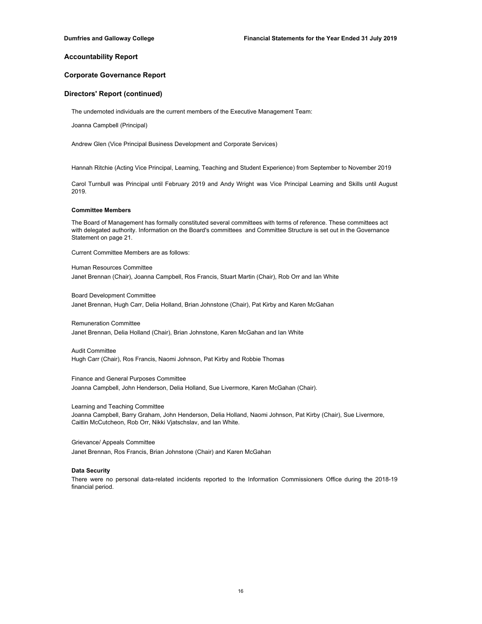## **Corporate Governance Report**

## **Directors' Report (continued)**

The undernoted individuals are the current members of the Executive Management Team:

Joanna Campbell (Principal)

Andrew Glen (Vice Principal Business Development and Corporate Services)

Hannah Ritchie (Acting Vice Principal, Learning, Teaching and Student Experience) from September to November 2019

Carol Turnbull was Principal until February 2019 and Andy Wright was Vice Principal Learning and Skills until August 2019.

### **Committee Members**

The Board of Management has formally constituted several committees with terms of reference. These committees act with delegated authority. Information on the Board's committees and Committee Structure is set out in the Governance Statement on page 21.

Current Committee Members are as follows:

Human Resources Committee Janet Brennan (Chair), Joanna Campbell, Ros Francis, Stuart Martin (Chair), Rob Orr and Ian White

Board Development Committee Janet Brennan, Hugh Carr, Delia Holland, Brian Johnstone (Chair), Pat Kirby and Karen McGahan

Remuneration Committee Janet Brennan, Delia Holland (Chair), Brian Johnstone, Karen McGahan and Ian White

Audit Committee Hugh Carr (Chair), Ros Francis, Naomi Johnson, Pat Kirby and Robbie Thomas

Finance and General Purposes Committee Joanna Campbell, John Henderson, Delia Holland, Sue Livermore, Karen McGahan (Chair).

Learning and Teaching Committee

Joanna Campbell, Barry Graham, John Henderson, Delia Holland, Naomi Johnson, Pat Kirby (Chair), Sue Livermore, Caitlin McCutcheon, Rob Orr, Nikki Vjatschslav, and Ian White.

Grievance/ Appeals Committee Janet Brennan, Ros Francis, Brian Johnstone (Chair) and Karen McGahan

#### **Data Security**

There were no personal data-related incidents reported to the Information Commissioners Office during the 2018-19 financial period.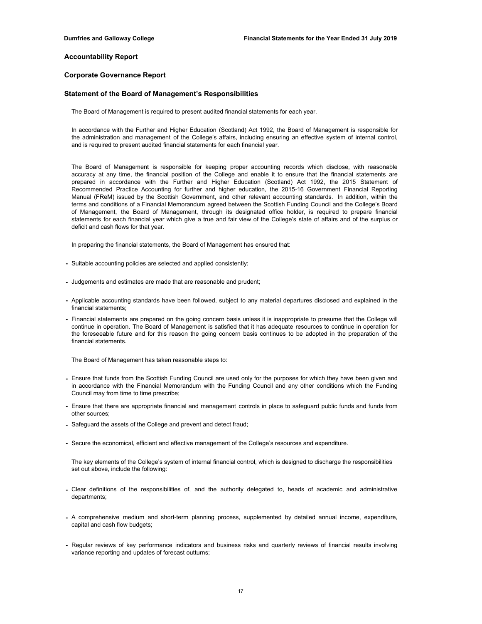## **Corporate Governance Report**

## **Statement of the Board of Management's Responsibilities**

The Board of Management is required to present audited financial statements for each year.

In accordance with the Further and Higher Education (Scotland) Act 1992, the Board of Management is responsible for the administration and management of the College's affairs, including ensuring an effective system of internal control, and is required to present audited financial statements for each financial year.

The Board of Management is responsible for keeping proper accounting records which disclose, with reasonable accuracy at any time, the financial position of the College and enable it to ensure that the financial statements are prepared in accordance with the Further and Higher Education (Scotland) Act 1992, the 2015 Statement of Recommended Practice Accounting for further and higher education, the 2015-16 Government Financial Reporting Manual (FReM) issued by the Scottish Government, and other relevant accounting standards. In addition, within the terms and conditions of a Financial Memorandum agreed between the Scottish Funding Council and the College's Board of Management, the Board of Management, through its designated office holder, is required to prepare financial statements for each financial year which give a true and fair view of the College's state of affairs and of the surplus or deficit and cash flows for that year.

In preparing the financial statements, the Board of Management has ensured that:

- Suitable accounting policies are selected and applied consistently;
- Judgements and estimates are made that are reasonable and prudent;
- Applicable accounting standards have been followed, subject to any material departures disclosed and explained in the financial statements;
- Financial statements are prepared on the going concern basis unless it is inappropriate to presume that the College will continue in operation. The Board of Management is satisfied that it has adequate resources to continue in operation for the foreseeable future and for this reason the going concern basis continues to be adopted in the preparation of the financial statements.

The Board of Management has taken reasonable steps to:

- Ensure that funds from the Scottish Funding Council are used only for the purposes for which they have been given and in accordance with the Financial Memorandum with the Funding Council and any other conditions which the Funding Council may from time to time prescribe;
- Ensure that there are appropriate financial and management controls in place to safeguard public funds and funds from other sources;
- Safeguard the assets of the College and prevent and detect fraud;
- Secure the economical, efficient and effective management of the College's resources and expenditure.

The key elements of the College's system of internal financial control, which is designed to discharge the responsibilities set out above, include the following:

- Clear definitions of the responsibilities of, and the authority delegated to, heads of academic and administrative departments;
- A comprehensive medium and short-term planning process, supplemented by detailed annual income, expenditure, capital and cash flow budgets;
- Regular reviews of key performance indicators and business risks and quarterly reviews of financial results involving variance reporting and updates of forecast outturns;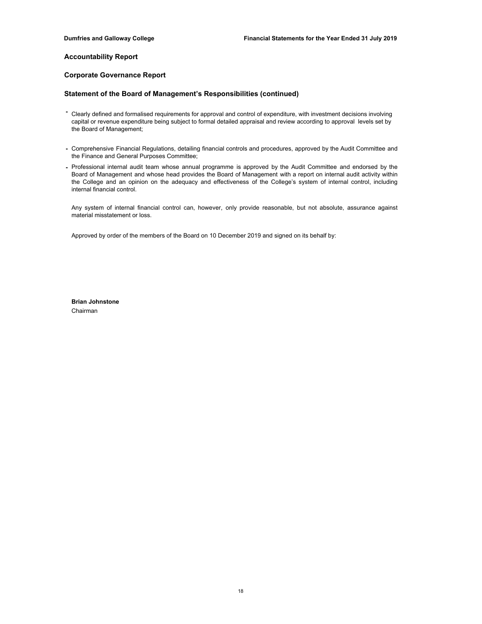## **Corporate Governance Report**

## **Statement of the Board of Management's Responsibilities (continued)**

- Clearly defined and formalised requirements for approval and control of expenditure, with investment decisions involving capital or revenue expenditure being subject to formal detailed appraisal and review according to approval levels set by the Board of Management;
- Comprehensive Financial Regulations, detailing financial controls and procedures, approved by the Audit Committee and the Finance and General Purposes Committee;
- Professional internal audit team whose annual programme is approved by the Audit Committee and endorsed by the Board of Management and whose head provides the Board of Management with a report on internal audit activity within the College and an opinion on the adequacy and effectiveness of the College's system of internal control, including internal financial control.

Any system of internal financial control can, however, only provide reasonable, but not absolute, assurance against material misstatement or loss.

Approved by order of the members of the Board on 10 December 2019 and signed on its behalf by:

**Brian Johnstone** Chairman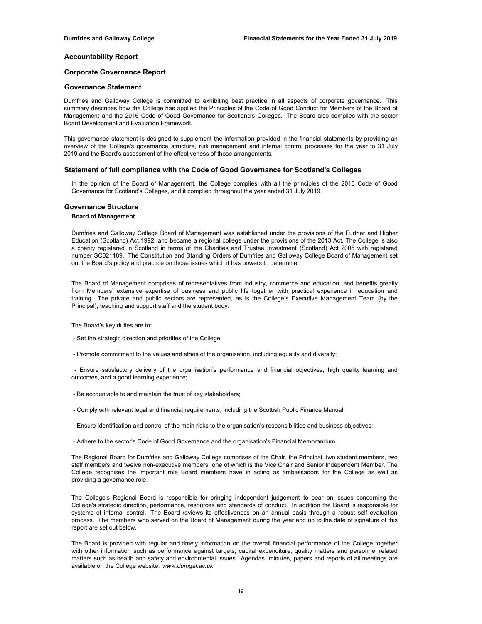## **Corporate Governance Report**

## **Governance Statement**

Dumfries and Galloway College is committed to exhibiting best practice in all aspects of corporate governance. This summary describes how the College has applied the Principles of the Code of Good Conduct for Members of the Board of Management and the 2016 Code of Good Governance for Scotland's Colleges. The Board also complies with the sector Board Development and Evaluation Framework.

This governance statement is designed to supplement the information provided in the financial statements by providing an overview of the College's governance structure, risk management and internal control processes for the year to 31 July 2019 and the Board's assessment of the effectiveness of those arrangements.

#### **Statement of full compliance with the Code of Good Governance for Scotland's Colleges**

In the opinion of the Board of Management, the College complies with all the principles of the 2016 Code of Good Governance for Scotland's Colleges, and it complied throughout the year ended 31 July 2019.

## **Governance Structure**

## **Board of Management**

Dumfries and Galloway College Board of Management was established under the provisions of the Further and Higher Education (Scotland) Act 1992, and became a regional college under the provisions of the 2013 Act. The College is also a charity registered in Scotland in terms of the Charities and Trustee Investment (Scotland) Act 2005 with registered number SC021189. The Constitution and Standing Orders of Dumfries and Galloway College Board of Management set out the Board's policy and practice on those issues which it has powers to determine

The Board of Management comprises of representatives from industry, commerce and education, and benefits greatly from Members' extensive expertise of business and public life together with practical experience in education and training. The private and public sectors are represented, as is the College's Executive Management Team (by the Principal), teaching and support staff and the student body.

The Board's key duties are to:

- Set the strategic direction and priorities of the College;
- Promote commitment to the values and ethos of the organisation, including equality and diversity;

- Ensure satisfactory delivery of the organisation's performance and financial objectives, high quality learning and outcomes, and a good learning experience;

- Be accountable to and maintain the trust of key stakeholders;
- Comply with relevant legal and financial requirements, including the Scottish Public Finance Manual;
- Ensure identification and control of the main risks to the organisation's responsibilities and business objectives;
- Adhere to the sector's Code of Good Governance and the organisation's Financial Memorandum.

The Regional Board for Dumfries and Galloway College comprises of the Chair, the Principal, two student members, two staff members and twelve non-executive members, one of which is the Vice Chair and Senior Independent Member. The College recognises the important role Board members have in acting as ambassadors for the College as well as providing a governance role.

The College's Regional Board is responsible for bringing independent judgement to bear on issues concerning the College's strategic direction, performance, resources and standards of conduct. In addition the Board is responsible for systems of internal control. The Board reviews its effectiveness on an annual basis through a robust self evaluation process. The members who served on the Board of Management during the year and up to the date of signature of this report are set out below.

The Board is provided with regular and timely information on the overall financial performance of the College together with other information such as performance against targets, capital expenditure, quality matters and personnel related matters such as health and safety and environmental issues. Agendas, minutes, papers and reports of all meetings are available on the College website: *www.dumgal.ac.uk*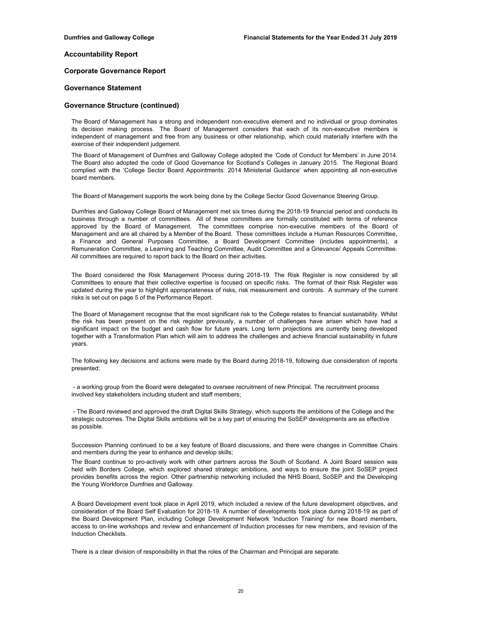## **Corporate Governance Report**

## **Governance Statement**

### **Governance Structure (continued)**

The Board of Management has a strong and independent non-executive element and no individual or group dominates its decision making process. The Board of Management considers that each of its non-executive members is independent of management and free from any business or other relationship, which could materially interfere with the exercise of their independent judgement.

The Board of Management of Dumfries and Galloway College adopted the 'Code of Conduct for Members' in June 2014. The Board also adopted the code of Good Governance for Scotland's Colleges in January 2015. The Regional Board complied with the 'College Sector Board Appointments: 2014 Ministerial Guidance' when appointing all non-executive board members.

The Board of Management supports the work being done by the College Sector Good Governance Steering Group.

Dumfries and Galloway College Board of Management met six times during the 2018-19 financial period and conducts its business through a number of committees. All of these committees are formally constituted with terms of reference approved by the Board of Management. The committees comprise non-executive members of the Board of Management and are all chaired by a Member of the Board. These committees include a Human Resources Committee, a Finance and General Purposes Committee, a Board Development Committee (includes appointments), a Remuneration Committee, a Learning and Teaching Committee, Audit Committee and a Grievance/ Appeals Committee. All committees are required to report back to the Board on their activities.

The Board considered the Risk Management Process during 2018-19. The Risk Register is now considered by all Committees to ensure that their collective expertise is focused on specific risks. The format of their Risk Register was updated during the year to highlight appropriateness of risks, risk measurement and controls. A summary of the current risks is set out on page 5 of the Performance Report.

The Board of Management recognise that the most significant risk to the College relates to financial sustainability. Whilst the risk has been present on the risk register previously, a number of challenges have arisen which have had a significant impact on the budget and cash flow for future years. Long term projections are currently being developed together with a Transformation Plan which will aim to address the challenges and achieve financial sustainability in future years.

The following key decisions and actions were made by the Board during 2018-19, following due consideration of reports presented:

 - a working group from the Board were delegated to oversee recruitment of new Principal. The recruitment process involved key stakeholders including student and staff members;

 - The Board reviewed and approved the draft Digital Skills Strategy, which supports the ambitions of the College and the strategic outcomes. The Digital Skills ambitions will be a key part of ensuring the SoSEP developments are as effective as possible.

Succession Planning continued to be a key feature of Board discussions, and there were changes in Committee Chairs and members during the year to enhance and develop skills;

The Board continue to pro-actively work with other partners across the South of Scotland. A Joint Board session was held with Borders College, which explored shared strategic ambitions, and ways to ensure the joint SoSEP project provides benefits across the region. Other partnership networking included the NHS Board, SoSEP and the Developing the Young Workforce Dumfries and Galloway.

A Board Development event took place in April 2019, which included a review of the future development objectives, and consideration of the Board Self Evaluation for 2018-19. A number of developments took place during 2018-19 as part of the Board Development Plan, including College Development Network 'Induction Training' for new Board members, access to on-line workshops and review and enhancement of Induction processes for new members, and revision of the Induction Checklists.

There is a clear division of responsibility in that the roles of the Chairman and Principal are separate.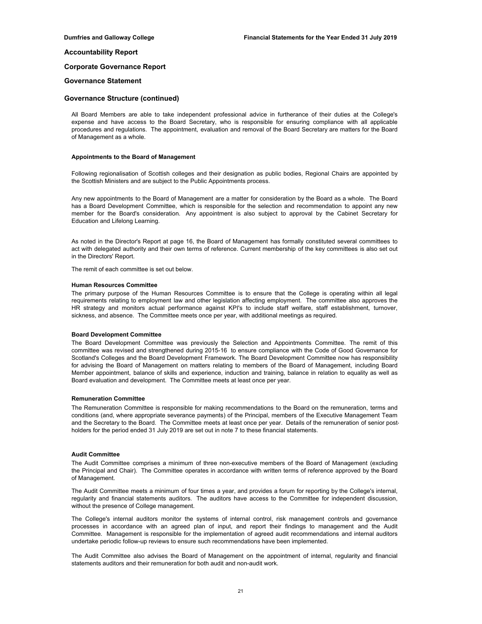## **Corporate Governance Report**

### **Governance Statement**

## **Governance Structure (continued)**

All Board Members are able to take independent professional advice in furtherance of their duties at the College's expense and have access to the Board Secretary, who is responsible for ensuring compliance with all applicable procedures and regulations. The appointment, evaluation and removal of the Board Secretary are matters for the Board of Management as a whole.

#### **Appointments to the Board of Management**

Following regionalisation of Scottish colleges and their designation as public bodies, Regional Chairs are appointed by the Scottish Ministers and are subject to the Public Appointments process.

Any new appointments to the Board of Management are a matter for consideration by the Board as a whole. The Board has a Board Development Committee, which is responsible for the selection and recommendation to appoint any new member for the Board's consideration. Any appointment is also subject to approval by the Cabinet Secretary for Education and Lifelong Learning.

As noted in the Director's Report at page 16, the Board of Management has formally constituted several committees to act with delegated authority and their own terms of reference. Current membership of the key committees is also set out in the Directors' Report.

The remit of each committee is set out below.

#### **Human Resources Committee**

The primary purpose of the Human Resources Committee is to ensure that the College is operating within all legal requirements relating to employment law and other legislation affecting employment. The committee also approves the HR strategy and monitors actual performance against KPI's to include staff welfare, staff establishment, turnover, sickness, and absence. The Committee meets once per year, with additional meetings as required.

#### **Board Development Committee**

The Board Development Committee was previously the Selection and Appointments Committee. The remit of this committee was revised and strengthened during 2015-16 to ensure compliance with the Code of Good Governance for Scotland's Colleges and the Board Development Framework. The Board Development Committee now has responsibility for advising the Board of Management on matters relating to members of the Board of Management, including Board Member appointment, balance of skills and experience, induction and training, balance in relation to equality as well as Board evaluation and development. The Committee meets at least once per year.

#### **Remuneration Committee**

The Remuneration Committee is responsible for making recommendations to the Board on the remuneration, terms and conditions (and, where appropriate severance payments) of the Principal, members of the Executive Management Team and the Secretary to the Board. The Committee meets at least once per year. Details of the remuneration of senior postholders for the period ended 31 July 2019 are set out in note 7 to these financial statements.

## **Audit Committee**

The Audit Committee comprises a minimum of three non-executive members of the Board of Management (excluding the Principal and Chair). The Committee operates in accordance with written terms of reference approved by the Board of Management.

The Audit Committee meets a minimum of four times a year, and provides a forum for reporting by the College's internal, regularity and financial statements auditors. The auditors have access to the Committee for independent discussion, without the presence of College management.

The College's internal auditors monitor the systems of internal control, risk management controls and governance processes in accordance with an agreed plan of input, and report their findings to management and the Audit Committee. Management is responsible for the implementation of agreed audit recommendations and internal auditors undertake periodic follow-up reviews to ensure such recommendations have been implemented.

The Audit Committee also advises the Board of Management on the appointment of internal, regularity and financial statements auditors and their remuneration for both audit and non-audit work.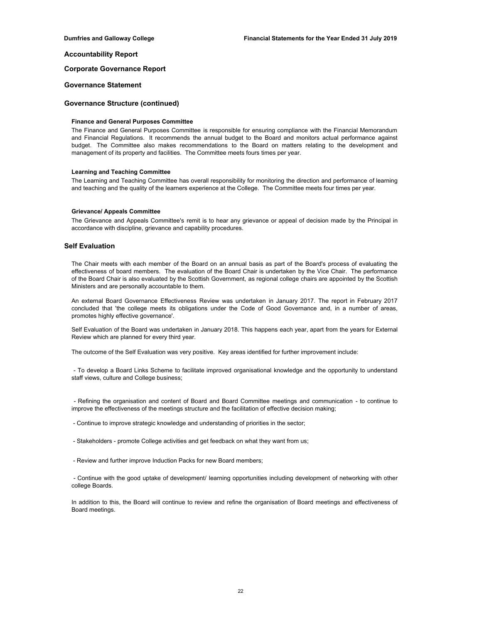## **Corporate Governance Report**

#### **Governance Statement**

## **Governance Structure (continued)**

### **Finance and General Purposes Committee**

The Finance and General Purposes Committee is responsible for ensuring compliance with the Financial Memorandum and Financial Regulations. It recommends the annual budget to the Board and monitors actual performance against budget. The Committee also makes recommendations to the Board on matters relating to the development and management of its property and facilities. The Committee meets fours times per year.

### **Learning and Teaching Committee**

The Learning and Teaching Committee has overall responsibility for monitoring the direction and performance of learning and teaching and the quality of the learners experience at the College. The Committee meets four times per year.

#### **Grievance/ Appeals Committee**

The Grievance and Appeals Committee's remit is to hear any grievance or appeal of decision made by the Principal in accordance with discipline, grievance and capability procedures.

## **Self Evaluation**

The Chair meets with each member of the Board on an annual basis as part of the Board's process of evaluating the effectiveness of board members. The evaluation of the Board Chair is undertaken by the Vice Chair. The performance of the Board Chair is also evaluated by the Scottish Government, as regional college chairs are appointed by the Scottish Ministers and are personally accountable to them.

An external Board Governance Effectiveness Review was undertaken in January 2017. The report in February 2017 concluded that 'the college meets its obligations under the Code of Good Governance and, in a number of areas, promotes highly effective governance'.

Self Evaluation of the Board was undertaken in January 2018. This happens each year, apart from the years for External Review which are planned for every third year.

The outcome of the Self Evaluation was very positive. Key areas identified for further improvement include:

- To develop a Board Links Scheme to facilitate improved organisational knowledge and the opportunity to understand staff views, culture and College business;

- Refining the organisation and content of Board and Board Committee meetings and communication - to continue to improve the effectiveness of the meetings structure and the facilitation of effective decision making;

- Continue to improve strategic knowledge and understanding of priorities in the sector;

- Stakeholders - promote College activities and get feedback on what they want from us;

- Review and further improve Induction Packs for new Board members;

- Continue with the good uptake of development/ learning opportunities including development of networking with other college Boards.

In addition to this, the Board will continue to review and refine the organisation of Board meetings and effectiveness of Board meetings.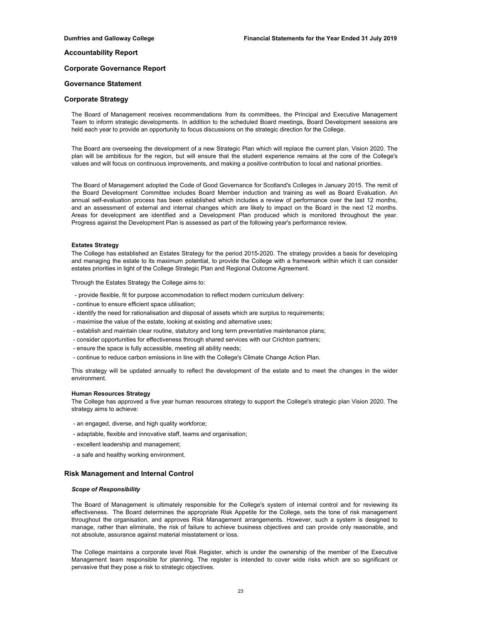## **Corporate Governance Report**

## **Governance Statement**

## **Corporate Strategy**

The Board of Management receives recommendations from its committees, the Principal and Executive Management Team to inform strategic developments. In addition to the scheduled Board meetings, Board Development sessions are held each year to provide an opportunity to focus discussions on the strategic direction for the College.

The Board are overseeing the development of a new Strategic Plan which will replace the current plan, Vision 2020. The plan will be ambitious for the region, but will ensure that the student experience remains at the core of the College's values and will focus on continuous improvements, and making a positive contribution to local and national priorities.

The Board of Management adopted the Code of Good Governance for Scotland's Colleges in January 2015. The remit of the Board Development Committee includes Board Member induction and training as well as Board Evaluation. An annual self-evaluation process has been established which includes a review of performance over the last 12 months, and an assessment of external and internal changes which are likely to impact on the Board in the next 12 months. Areas for development are identified and a Development Plan produced which is monitored throughout the year. Progress against the Development Plan is assessed as part of the following year's performance review.

#### **Estates Strategy**

The College has established an Estates Strategy for the period 2015-2020. The strategy provides a basis for developing and managing the estate to its maximum potential, to provide the College with a framework within which it can consider estates priorities in light of the College Strategic Plan and Regional Outcome Agreement.

Through the Estates Strategy the College aims to:

- provide flexible, fit for purpose accommodation to reflect modern curriculum delivery:
- continue to ensure efficient space utilisation;
- identify the need for rationalisation and disposal of assets which are surplus to requirements;
- maximise the value of the estate, looking at existing and alternative uses;
- establish and maintain clear routine, statutory and long term preventative maintenance plans;
- consider opportunities for effectiveness through shared services with our Crichton partners;
- ensure the space is fully accessible, meeting all ability needs;
- continue to reduce carbon emissions in line with the College's Climate Change Action Plan.

This strategy will be updated annually to reflect the development of the estate and to meet the changes in the wider environment.

#### **Human Resources Strategy**

The College has approved a five year human resources strategy to support the College's strategic plan Vision 2020. The strategy aims to achieve:

- an engaged, diverse, and high quality workforce;
- adaptable, flexible and innovative staff, teams and organisation;
- excellent leadership and management;
- a safe and healthy working environment.

## **Risk Management and Internal Control**

#### *Scope of Responsibility*

The Board of Management is ultimately responsible for the College's system of internal control and for reviewing its effectiveness. The Board determines the appropriate Risk Appetite for the College, sets the tone of risk management throughout the organisation, and approves Risk Management arrangements. However, such a system is designed to manage, rather than eliminate, the risk of failure to achieve business objectives and can provide only reasonable, and not absolute, assurance against material misstatement or loss.

The College maintains a corporate level Risk Register, which is under the ownership of the member of the Executive Management team responsible for planning. The register is intended to cover wide risks which are so significant or pervasive that they pose a risk to strategic objectives.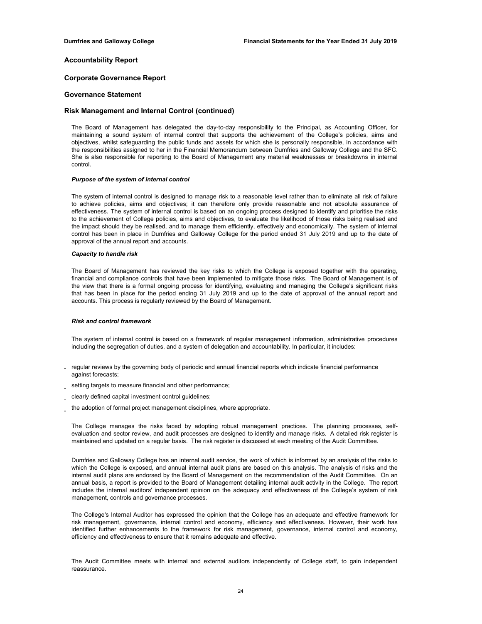## **Corporate Governance Report**

## **Governance Statement**

## **Risk Management and Internal Control (continued)**

The Board of Management has delegated the day-to-day responsibility to the Principal, as Accounting Officer, for maintaining a sound system of internal control that supports the achievement of the College's policies, aims and objectives, whilst safeguarding the public funds and assets for which she is personally responsible, in accordance with the responsibilities assigned to her in the Financial Memorandum between Dumfries and Galloway College and the SFC. She is also responsible for reporting to the Board of Management any material weaknesses or breakdowns in internal control.

### *Purpose of the system of internal control*

The system of internal control is designed to manage risk to a reasonable level rather than to eliminate all risk of failure to achieve policies, aims and objectives; it can therefore only provide reasonable and not absolute assurance of effectiveness. The system of internal control is based on an ongoing process designed to identify and prioritise the risks to the achievement of College policies, aims and objectives, to evaluate the likelihood of those risks being realised and the impact should they be realised, and to manage them efficiently, effectively and economically. The system of internal control has been in place in Dumfries and Galloway College for the period ended 31 July 2019 and up to the date of approval of the annual report and accounts.

### *Capacity to handle risk*

The Board of Management has reviewed the key risks to which the College is exposed together with the operating, financial and compliance controls that have been implemented to mitigate those risks. The Board of Management is of the view that there is a formal ongoing process for identifying, evaluating and managing the College's significant risks that has been in place for the period ending 31 July 2019 and up to the date of approval of the annual report and accounts. This process is regularly reviewed by the Board of Management.

### *Risk and control framework*

The system of internal control is based on a framework of regular management information, administrative procedures including the segregation of duties, and a system of delegation and accountability. In particular, it includes:

- regular reviews by the governing body of periodic and annual financial reports which indicate financial performance against forecasts;
- setting targets to measure financial and other performance;
- clearly defined capital investment control guidelines;
- the adoption of formal project management disciplines, where appropriate.

The College manages the risks faced by adopting robust management practices. The planning processes, selfevaluation and sector review, and audit processes are designed to identify and manage risks. A detailed risk register is maintained and updated on a regular basis. The risk register is discussed at each meeting of the Audit Committee.

Dumfries and Galloway College has an internal audit service, the work of which is informed by an analysis of the risks to which the College is exposed, and annual internal audit plans are based on this analysis. The analysis of risks and the internal audit plans are endorsed by the Board of Management on the recommendation of the Audit Committee. On an annual basis, a report is provided to the Board of Management detailing internal audit activity in the College. The report includes the internal auditors' independent opinion on the adequacy and effectiveness of the College's system of risk management, controls and governance processes.

The College's Internal Auditor has expressed the opinion that the College has an adequate and effective framework for risk management, governance, internal control and economy, efficiency and effectiveness. However, their work has identified further enhancements to the framework for risk management, governance, internal control and economy, efficiency and effectiveness to ensure that it remains adequate and effective.

The Audit Committee meets with internal and external auditors independently of College staff, to gain independent reassurance.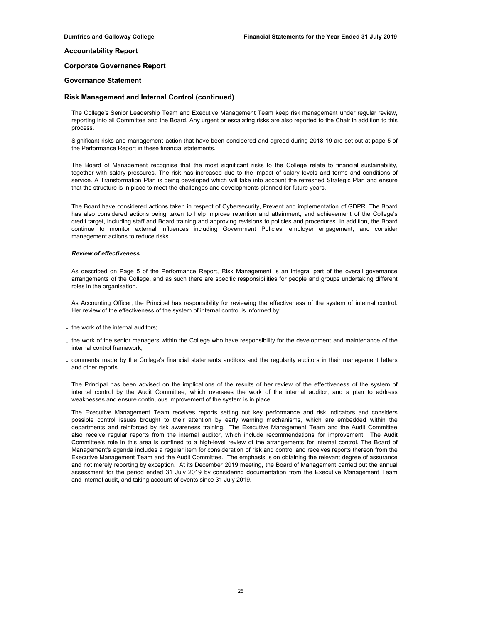#### **Corporate Governance Report**

### **Governance Statement**

### **Risk Management and Internal Control (continued)**

The College's Senior Leadership Team and Executive Management Team keep risk management under regular review, reporting into all Committee and the Board. Any urgent or escalating risks are also reported to the Chair in addition to this process.

Significant risks and management action that have been considered and agreed during 2018-19 are set out at page 5 of the Performance Report in these financial statements.

The Board of Management recognise that the most significant risks to the College relate to financial sustainability, together with salary pressures. The risk has increased due to the impact of salary levels and terms and conditions of service. A Transformation Plan is being developed which will take into account the refreshed Strategic Plan and ensure that the structure is in place to meet the challenges and developments planned for future years.

The Board have considered actions taken in respect of Cybersecurity, Prevent and implementation of GDPR. The Board has also considered actions being taken to help improve retention and attainment, and achievement of the College's credit target, including staff and Board training and approving revisions to policies and procedures. In addition, the Board continue to monitor external influences including Government Policies, employer engagement, and consider management actions to reduce risks.

#### *Review of effectiveness*

As described on Page 5 of the Performance Report, Risk Management is an integral part of the overall governance arrangements of the College, and as such there are specific responsibilities for people and groups undertaking different roles in the organisation.

As Accounting Officer, the Principal has responsibility for reviewing the effectiveness of the system of internal control. Her review of the effectiveness of the system of internal control is informed by:

- **-** the work of the internal auditors;
- **-** the work of the senior managers within the College who have responsibility for the development and maintenance of the internal control framework;
- **-** comments made by the College's financial statements auditors and the regularity auditors in their management letters and other reports.

The Principal has been advised on the implications of the results of her review of the effectiveness of the system of internal control by the Audit Committee, which oversees the work of the internal auditor, and a plan to address weaknesses and ensure continuous improvement of the system is in place.

The Executive Management Team receives reports setting out key performance and risk indicators and considers possible control issues brought to their attention by early warning mechanisms, which are embedded within the departments and reinforced by risk awareness training. The Executive Management Team and the Audit Committee also receive regular reports from the internal auditor, which include recommendations for improvement. The Audit Committee's role in this area is confined to a high-level review of the arrangements for internal control. The Board of Management's agenda includes a regular item for consideration of risk and control and receives reports thereon from the Executive Management Team and the Audit Committee. The emphasis is on obtaining the relevant degree of assurance and not merely reporting by exception. At its December 2019 meeting, the Board of Management carried out the annual assessment for the period ended 31 July 2019 by considering documentation from the Executive Management Team and internal audit, and taking account of events since 31 July 2019.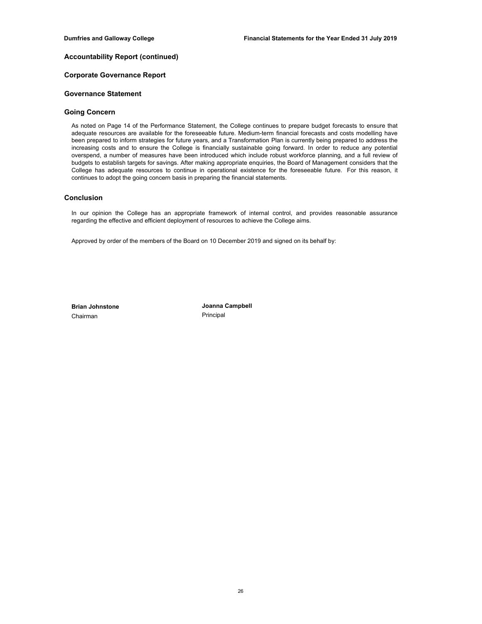# **Accountability Report (continued)**

## **Corporate Governance Report**

## **Governance Statement**

## **Going Concern**

As noted on Page 14 of the Performance Statement, the College continues to prepare budget forecasts to ensure that adequate resources are available for the foreseeable future. Medium-term financial forecasts and costs modelling have been prepared to inform strategies for future years, and a Transformation Plan is currently being prepared to address the increasing costs and to ensure the College is financially sustainable going forward. In order to reduce any potential overspend, a number of measures have been introduced which include robust workforce planning, and a full review of budgets to establish targets for savings. After making appropriate enquiries, the Board of Management considers that the College has adequate resources to continue in operational existence for the foreseeable future. For this reason, it continues to adopt the going concern basis in preparing the financial statements.

## **Conclusion**

In our opinion the College has an appropriate framework of internal control, and provides reasonable assurance regarding the effective and efficient deployment of resources to achieve the College aims.

Approved by order of the members of the Board on 10 December 2019 and signed on its behalf by:

Chairman Principal

**Brian Johnstone Joanna Campbell**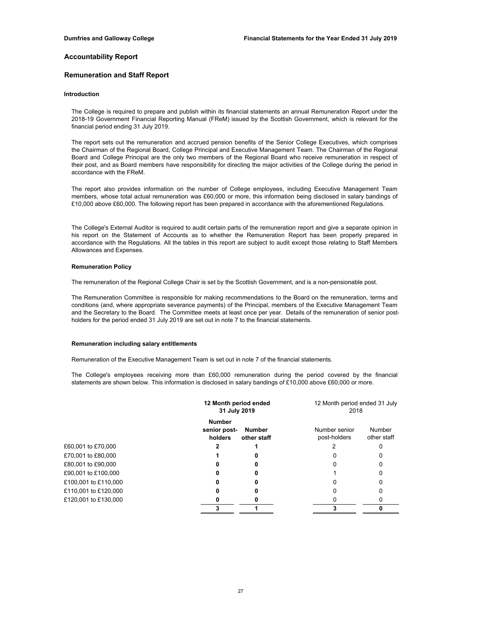## **Remuneration and Staff Report**

#### **Introduction**

The College is required to prepare and publish within its financial statements an annual Remuneration Report under the 2018-19 Government Financial Reporting Manual (FReM) issued by the Scottish Government, which is relevant for the financial period ending 31 July 2019.

The report sets out the remuneration and accrued pension benefits of the Senior College Executives, which comprises the Chairman of the Regional Board, College Principal and Executive Management Team. The Chairman of the Regional Board and College Principal are the only two members of the Regional Board who receive remuneration in respect of their post, and as Board members have responsibility for directing the major activities of the College during the period in accordance with the FReM.

The report also provides information on the number of College employees, including Executive Management Team members, whose total actual remuneration was £60,000 or more, this information being disclosed in salary bandings of £10,000 above £60,000. The following report has been prepared in accordance with the aforementioned Regulations.

The College's External Auditor is required to audit certain parts of the remuneration report and give a separate opinion in his report on the Statement of Accounts as to whether the Remuneration Report has been properly prepared in accordance with the Regulations. All the tables in this report are subject to audit except those relating to Staff Members Allowances and Expenses.

#### **Remuneration Policy**

The remuneration of the Regional College Chair is set by the Scottish Government, and is a non-pensionable post.

The Remuneration Committee is responsible for making recommendations to the Board on the remuneration, terms and conditions (and, where appropriate severance payments) of the Principal, members of the Executive Management Team and the Secretary to the Board. The Committee meets at least once per year. Details of the remuneration of senior postholders for the period ended 31 July 2019 are set out in note 7 to the financial statements.

#### **Remuneration including salary entitlements**

Remuneration of the Executive Management Team is set out in note 7 of the financial statements.

The College's employees receiving more than £60,000 remuneration during the period covered by the financial statements are shown below. This information is disclosed in salary bandings of £10,000 above £60,000 or more.

|                      |                                          | 12 Month period ended<br>31 July 2019 |  | 12 Month period ended 31 July<br>2018 |                       |
|----------------------|------------------------------------------|---------------------------------------|--|---------------------------------------|-----------------------|
|                      | <b>Number</b><br>senior post-<br>holders | <b>Number</b><br>other staff          |  | Number senior<br>post-holders         | Number<br>other staff |
| £60,001 to £70,000   |                                          |                                       |  |                                       |                       |
| £70,001 to £80,000   |                                          |                                       |  |                                       |                       |
| £80,001 to £90,000   |                                          |                                       |  |                                       |                       |
| £90,001 to £100,000  |                                          |                                       |  |                                       |                       |
| £100,001 to £110,000 |                                          |                                       |  |                                       |                       |
| £110,001 to £120,000 |                                          |                                       |  |                                       |                       |
| £120,001 to £130,000 |                                          |                                       |  |                                       |                       |
|                      |                                          |                                       |  | 2                                     |                       |
|                      |                                          |                                       |  |                                       |                       |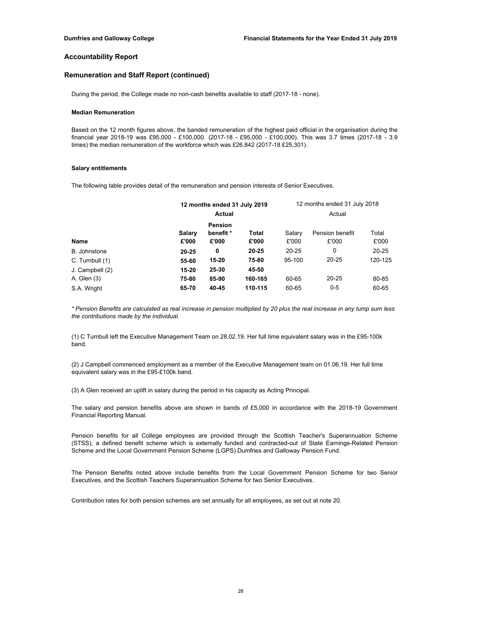## **Remuneration and Staff Report (continued)**

During the period, the College made no non-cash benefits available to staff (2017-18 - none).

### **Median Remuneration**

Based on the 12 month figures above, the banded remuneration of the highest paid official in the organisation during the financial year 2018-19 was £95,000 - £100,000. (2017-18 - £95,000 - £100,000). This was 3.7 times (2017-18 - 3.9 times) the median remuneration of the workforce which was £26,842 (2017-18 £25,301).

#### **Salary entitlements**

The following table provides detail of the remuneration and pension interests of Senior Executives.

|                 |                | 12 months ended 31 July 2019 |           | 12 months ended 31 July 2018 |                 |           |
|-----------------|----------------|------------------------------|-----------|------------------------------|-----------------|-----------|
|                 |                | <b>Actual</b>                |           |                              | Actual          |           |
|                 | <b>Pension</b> |                              |           |                              |                 |           |
|                 | Salary         | benefit *                    | Total     | Salary                       | Pension benefit | Total     |
| Name            | £'000          | £'000                        | £'000     | £'000                        | £'000           | £'000     |
| B. Johnstone    | $20 - 25$      | 0                            | $20 - 25$ | $20 - 25$                    | 0               | $20 - 25$ |
| C. Turnbull (1) | 55-60          | $15 - 20$                    | 75-80     | 95-100                       | 20-25           | 120-125   |
| J. Campbell (2) | $15 - 20$      | 25-30                        | 45-50     |                              |                 |           |
| A. Glen (3)     | 75-80          | 85-90                        | 160-165   | 60-65                        | 20-25           | 80-85     |
| S.A. Wright     | 65-70          | 40-45                        | 110-115   | 60-65                        | $0 - 5$         | 60-65     |

*\* Pension Benefits are calculated as real increase in pension multiplied by 20 plus the real increase in any lump sum less the contributions made by the individual.*

(1) C Turnbull left the Executive Management Team on 28.02.19. Her full time equivalent salary was in the £95-100k band.

(2) J Campbell commenced employment as a member of the Executive Management team on 01.06.19. Her full time equivalent salary was in the £95-£100k band.

(3) A Glen received an uplift in salary during the period in his capacity as Acting Principal.

The salary and pension benefits above are shown in bands of £5,000 in accordance with the 2018-19 Government Financial Reporting Manual.

Pension benefits for all College employees are provided through the Scottish Teacher's Superannuation Scheme (STSS), a defined benefit scheme which is externally funded and contracted-out of State Earnings-Related Pension Scheme and the Local Government Pension Scheme (LGPS) Dumfries and Galloway Pension Fund.

The Pension Benefits noted above include benefits from the Local Government Pension Scheme for two Senior Executives, and the Scottish Teachers Superannuation Scheme for two Senior Executives.

Contribution rates for both pension schemes are set annually for all employees, as set out at note 20.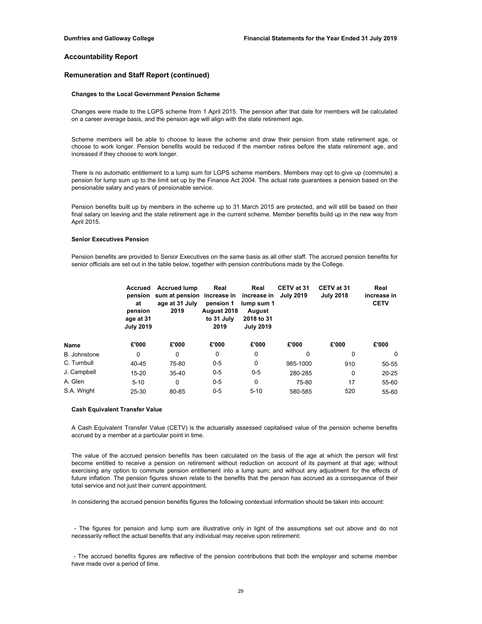## **Remuneration and Staff Report (continued)**

## **Changes to the Local Government Pension Scheme**

Changes were made to the LGPS scheme from 1 April 2015. The pension after that date for members will be calculated on a career average basis, and the pension age will align with the state retirement age.

Scheme members will be able to choose to leave the scheme and draw their pension from state retirement age, or choose to work longer. Pension benefits would be reduced if the member retires before the state retirement age, and increased if they choose to work longer.

There is no automatic entitlement to a lump sum for LGPS scheme members. Members may opt to give up (commute) a pension for lump sum up to the limit set up by the Finance Act 2004. The actual rate guarantees a pension based on the pensionable salary and years of pensionable service.

Pension benefits built up by members in the scheme up to 31 March 2015 are protected, and will still be based on their final salary on leaving and the state retirement age in the current scheme. Member benefits build up in the new way from April 2015.

## **Senior Executives Pension**

Pension benefits are provided to Senior Executives on the same basis as all other staff. The accrued pension benefits for senior officials are set out in the table below, together with pension contributions made by the College.

|                     | Accrued<br>at<br>pension<br>age at 31<br><b>July 2019</b> | <b>Accrued lump</b><br>pension sum at pension increase in increase in<br>age at 31 July<br>2019 | Real<br>pension 1<br>August 2018<br>to 31 July<br>2019 | Real<br>lump sum 1<br>August<br>2018 to 31<br><b>July 2019</b> | CETV at 31<br><b>July 2019</b> | CETV at 31<br><b>July 2018</b> | Real<br>increase in<br><b>CETV</b> |
|---------------------|-----------------------------------------------------------|-------------------------------------------------------------------------------------------------|--------------------------------------------------------|----------------------------------------------------------------|--------------------------------|--------------------------------|------------------------------------|
| Name                | £'000                                                     | £'000                                                                                           | £'000                                                  | £'000                                                          | £'000                          | £'000                          | £'000                              |
| <b>B.</b> Johnstone | 0                                                         | 0                                                                                               | 0                                                      | 0                                                              | 0                              | 0                              | $\Omega$                           |
| C. Turnbull         | 40-45                                                     | 75-80                                                                                           | $0 - 5$                                                | 0                                                              | 985-1000                       | 910                            | 50-55                              |
| J. Campbell         | 15-20                                                     | 35-40                                                                                           | $0 - 5$                                                | $0 - 5$                                                        | 280-285                        | 0                              | $20 - 25$                          |
| A. Glen             | $5 - 10$                                                  | 0                                                                                               | $0 - 5$                                                | $\Omega$                                                       | 75-80                          | 17                             | 55-60                              |
| S.A. Wright         | 25-30                                                     | 80-85                                                                                           | $0 - 5$                                                | $5 - 10$                                                       | 580-585                        | 520                            | 55-60                              |

#### **Cash Equivalent Transfer Value**

A Cash Equivalent Transfer Value (CETV) is the actuarially assessed capitalised value of the pension scheme benefits accrued by a member at a particular point in time.

The value of the accrued pension benefits has been calculated on the basis of the age at which the person will first become entitled to receive a pension on retirement without reduction on account of its payment at that age; without exercising any option to commute pension entitlement into a lump sum; and without any adjustment for the effects of future inflation. The pension figures shown relate to the benefits that the person has accrued as a consequence of their total service and not just their current appointment.

In considering the accrued pension benefits figures the following contextual information should be taken into account:

- The figures for pension and lump sum are illustrative only in light of the assumptions set out above and do not necessarily reflect the actual benefits that any individual may receive upon retirement:

- The accrued benefits figures are reflective of the pension contributions that both the employer and scheme member have made over a period of time.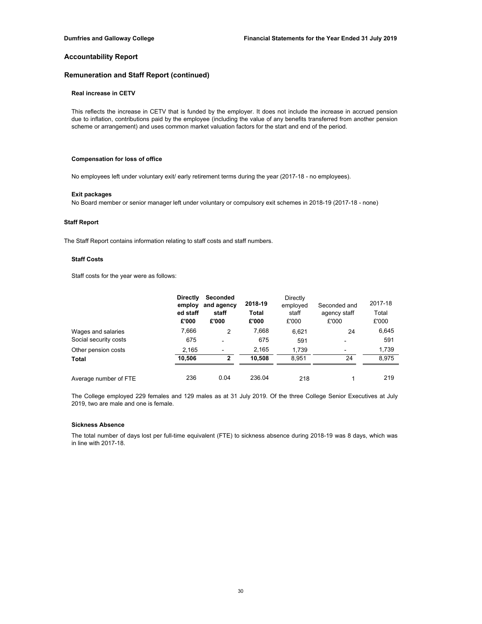# **Remuneration and Staff Report (continued)**

## **Real increase in CETV**

This reflects the increase in CETV that is funded by the employer. It does not include the increase in accrued pension due to inflation, contributions paid by the employee (including the value of any benefits transferred from another pension scheme or arrangement) and uses common market valuation factors for the start and end of the period.

## **Compensation for loss of office**

No employees left under voluntary exit/ early retirement terms during the year (2017-18 - no employees).

#### **Exit packages**

No Board member or senior manager left under voluntary or compulsory exit schemes in 2018-19 (2017-18 - none)

## **Staff Report**

The Staff Report contains information relating to staff costs and staff numbers.

## **Staff Costs**

Staff costs for the year were as follows:

|                       | <b>Directly</b><br>employ<br>ed staff<br>£'000 | Seconded<br>and agency<br>staff<br>£'000 | 2018-19<br>Total<br>£'000 | Directly<br>employed<br>staff<br>£'000 | Seconded and<br>agency staff<br>£'000 | 2017-18<br>Total<br>£'000 |
|-----------------------|------------------------------------------------|------------------------------------------|---------------------------|----------------------------------------|---------------------------------------|---------------------------|
| Wages and salaries    | 7,666                                          | 2                                        | 7,668                     | 6,621                                  | 24                                    | 6,645                     |
| Social security costs | 675                                            | $\overline{\phantom{0}}$                 | 675                       | 591                                    |                                       | 591                       |
| Other pension costs   | 2.165                                          |                                          | 2,165                     | 1.739                                  |                                       | 1,739                     |
| Total                 | 10.506                                         | $\overline{2}$                           | 10.508                    | 8.951                                  | 24                                    | 8.975                     |
| Average number of FTE | 236                                            | 0.04                                     | 236.04                    | 218                                    |                                       | 219                       |

The College employed 229 females and 129 males as at 31 July 2019. Of the three College Senior Executives at July 2019, two are male and one is female.

## **Sickness Absence**

The total number of days lost per full-time equivalent (FTE) to sickness absence during 2018-19 was 8 days, which was in line with 2017-18.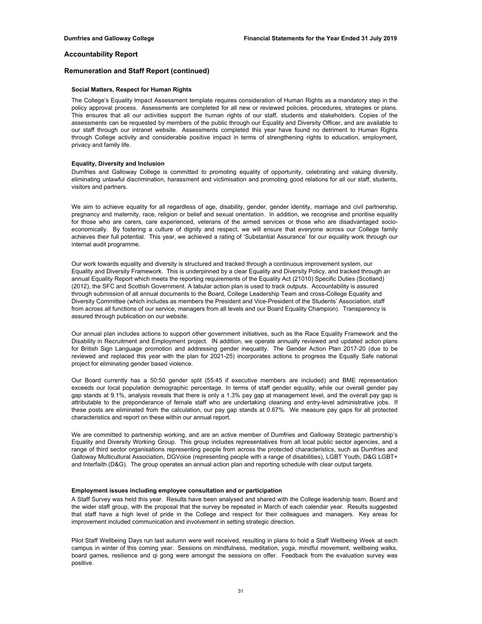## **Remuneration and Staff Report (continued)**

#### **Social Matters, Respect for Human Rights**

The College's Equality Impact Assessment template requires consideration of Human Rights as a mandatory step in the policy approval process. Assessments are completed for all new or reviewed policies, procedures, strategies or plans. This ensures that all our activities support the human rights of our staff, students and stakeholders. Copies of the assessments can be requested by members of the public through our Equality and Diversity Officer, and are available to our staff through our intranet website. Assessments completed this year have found no detriment to Human Rights through College activity and considerable positive impact in terms of strengthening rights to education, employment, privacy and family life.

#### **Equality, Diversity and Inclusion**

Dumfries and Galloway College is committed to promoting equality of opportunity, celebrating and valuing diversity, eliminating unlawful discrimination, harassment and victimisation and promoting good relations for all our staff, students, visitors and partners.

We aim to achieve equality for all regardless of age, disability, gender, gender identity, marriage and civil partnership, pregnancy and maternity, race, religion or belief and sexual orientation. In addition, we recognise and prioritise equality for those who are carers, care experienced, veterans of the armed services or those who are disadvantaged socioeconomically. By fostering a culture of dignity and respect, we will ensure that everyone across our College family achieves their full potential. This year, we achieved a rating of 'Substantial Assurance' for our equality work through our internal audit programme.

Our work towards equality and diversity is structured and tracked through a continuous improvement system, our Equality and Diversity Framework. This is underpinned by a clear Equality and Diversity Policy, and tracked through an annual Equality Report which meets the reporting requirements of the Equality Act (21010) Specific Duties (Scotland) (2012), the SFC and Scottish Government. A tabular action plan is used to track outputs. Accountability is assured through submission of all annual documents to the Board, College Leadership Team and cross-College Equality and Diversity Committee (which includes as members the President and Vice-President of the Students' Association, staff from across all functions of our service, managers from all levels and our Board Equality Champion). Transparency is assured through publication on our website.

Our annual plan includes actions to support other government initiatives, such as the Race Equality Framework and the Disability in Recruitment and Employment project. IN addition, we operate annually reviewed and updated action plans for British Sign Language promotion and addressing gender inequality. The Gender Action Plan 2017-20 (due to be reviewed and replaced this year with the plan for 2021-25) incorporates actions to progress the Equally Safe national project for eliminating gender based violence.

Our Board currently has a 50:50 gender split (55:45 if executive members are included) and BME representation exceeds our local population demographic percentage. In terms of staff gender equality, while our overall gender pay gap stands at 9.1%, analysis reveals that there is only a 1.3% pay gap at management level, and the overall pay gap is attributable to the preponderance of female staff who are undertaking cleaning and entry-level administrative jobs. If these posts are eliminated from the calculation, our pay gap stands at 0.67%. We measure pay gaps for all protected characteristics and report on these within our annual report.

We are committed to partnership working, and are an active member of Dumfries and Galloway Strategic partnership's Equality and Diversity Working Group. This group includes representatives from all local public sector agencies, and a range of third sector organisations representing people from across the protected characteristics, such as Dumfries and Galloway Multicultural Association, DGVoice (representing people with a range of disabilities), LGBT Youth, D&G LGBT+ and Interfaith (D&G). The group operates an annual action plan and reporting schedule with clear output targets.

#### **Employment issues including employee consultation and or participation**

A Staff Survey was held this year. Results have been analysed and shared with the College leadership team, Board and the wider staff group, with the proposal that the survey be repeated in March of each calendar year. Results suggested that staff have a high level of pride in the College and respect for their colleagues and managers. Key areas for improvement included communication and involvement in setting strategic direction.

Pilot Staff Wellbeing Days run last autumn were well received, resulting in plans to hold a Staff Wellbeing Week at each campus in winter of this coming year. Sessions on mindfulness, meditation, yoga, mindful movement, wellbeing walks, board games, resilience and qi gong were amongst the sessions on offer. Feedback from the evaluation survey was positive.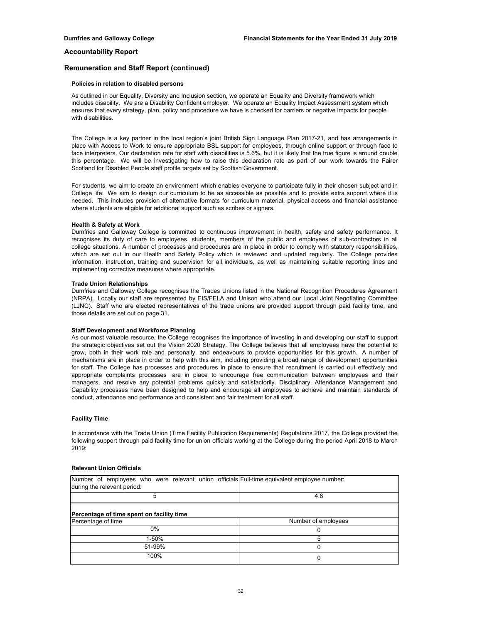## **Remuneration and Staff Report (continued)**

#### **Policies in relation to disabled persons**

As outlined in our Equality, Diversity and Inclusion section, we operate an Equality and Diversity framework which includes disability. We are a Disability Confident employer. We operate an Equality Impact Assessment system which ensures that every strategy, plan, policy and procedure we have is checked for barriers or negative impacts for people with disabilities.

The College is a key partner in the local region's joint British Sign Language Plan 2017-21, and has arrangements in place with Access to Work to ensure appropriate BSL support for employees, through online support or through face to face interpreters. Our declaration rate for staff with disabilities is 5.6%, but it is likely that the true figure is around double this percentage. We will be investigating how to raise this declaration rate as part of our work towards the Fairer Scotland for Disabled People staff profile targets set by Scottish Government.

For students, we aim to create an environment which enables everyone to participate fully in their chosen subject and in College life. We aim to design our curriculum to be as accessible as possible and to provide extra support where it is needed. This includes provision of alternative formats for curriculum material, physical access and financial assistance where students are eligible for additional support such as scribes or signers.

## **Health & Safety at Work**

Dumfries and Galloway College is committed to continuous improvement in health, safety and safety performance. It recognises its duty of care to employees, students, members of the public and employees of sub-contractors in all college situations. A number of processes and procedures are in place in order to comply with statutory responsibilities, which are set out in our Health and Safety Policy which is reviewed and updated regularly. The College provides information, instruction, training and supervision for all individuals, as well as maintaining suitable reporting lines and implementing corrective measures where appropriate.

#### **Trade Union Relationships**

Dumfries and Galloway College recognises the Trades Unions listed in the National Recognition Procedures Agreement (NRPA). Locally our staff are represented by EIS/FELA and Unison who attend our Local Joint Negotiating Committee (LJNC). Staff who are elected representatives of the trade unions are provided support through paid facility time, and those details are set out on page 31.

#### **Staff Development and Workforce Planning**

As our most valuable resource, the College recognises the importance of investing in and developing our staff to support the strategic objectives set out the Vision 2020 Strategy. The College believes that all employees have the potential to grow, both in their work role and personally, and endeavours to provide opportunities for this growth. A number of mechanisms are in place in order to help with this aim, including providing a broad range of development opportunities for staff. The College has processes and procedures in place to ensure that recruitment is carried out effectively and appropriate complaints processes are in place to encourage free communication between employees and their managers, and resolve any potential problems quickly and satisfactorily. Disciplinary, Attendance Management and Capability processes have been designed to help and encourage all employees to achieve and maintain standards of conduct, attendance and performance and consistent and fair treatment for all staff.

#### **Facility Time**

In accordance with the Trade Union (Time Facility Publication Requirements) Regulations 2017, the College provided the following support through paid facility time for union officials working at the College during the period April 2018 to March 2019:

### **Relevant Union Officials**

| Number of employees who were relevant union officials Full-time equivalent employee number: |                     |
|---------------------------------------------------------------------------------------------|---------------------|
| during the relevant period:                                                                 |                     |
|                                                                                             | 4.8                 |
| Percentage of time spent on facility time                                                   |                     |
| Percentage of time                                                                          | Number of employees |
| 0%                                                                                          | υ                   |
| 1-50%                                                                                       |                     |
| 51-99%                                                                                      |                     |
| 100%                                                                                        | 0                   |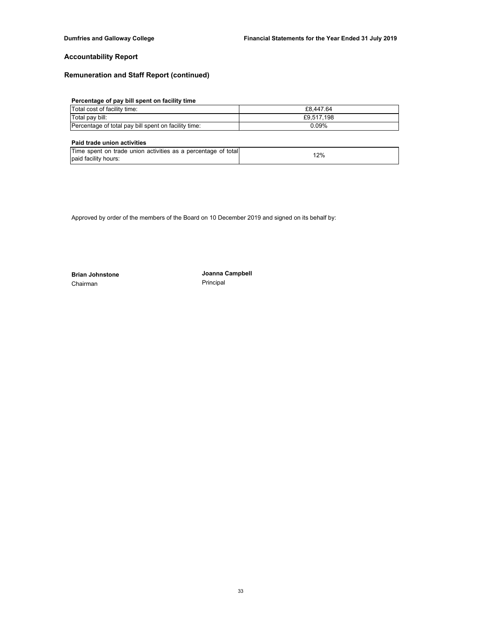# **Remuneration and Staff Report (continued)**

# **Percentage of pay bill spent on facility time**

| Total cost of facility time:                         | £8.447.64  |
|------------------------------------------------------|------------|
| Total pay bill:                                      | £9.517.198 |
| Percentage of total pay bill spent on facility time: | 0.09%      |

## **Paid trade union activities**

| Time spent on trade union activities as a percentage of total | 12% |
|---------------------------------------------------------------|-----|
| paid facility hours:                                          |     |

Approved by order of the members of the Board on 10 December 2019 and signed on its behalf by:

Chairman **Principal** 

**Brian Johnstone Joanna Campbell**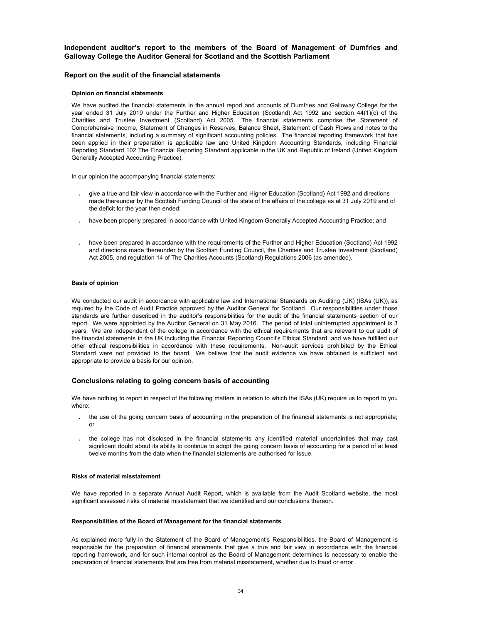## **Independent auditor's report to the members of the Board of Management of Dumfries and Galloway College the Auditor General for Scotland and the Scottish Parliament**

## **Report on the audit of the financial statements**

### **Opinion on financial statements**

We have audited the financial statements in the annual report and accounts of Dumfries and Galloway College for the year ended 31 July 2019 under the Further and Higher Education (Scotland) Act 1992 and section 44(1)(c) of the Charities and Trustee Investment (Scotland) Act 2005. The financial statements comprise the Statement of Comprehensive Income, Statement of Changes in Reserves, Balance Sheet, Statement of Cash Flows and notes to the financial statements, including a summary of significant accounting policies. The financial reporting framework that has been applied in their preparation is applicable law and United Kingdom Accounting Standards, including Financial Reporting Standard 102 The Financial Reporting Standard applicable in the UK and Republic of Ireland (United Kingdom Generally Accepted Accounting Practice).

In our opinion the accompanying financial statements:

- **∙** give a true and fair view in accordance with the Further and Higher Education (Scotland) Act 1992 and directions made thereunder by the Scottish Funding Council of the state of the affairs of the college as at 31 July 2019 and of the deficit for the year then ended;
- **∙** have been properly prepared in accordance with United Kingdom Generally Accepted Accounting Practice; and
- **∙** have been prepared in accordance with the requirements of the Further and Higher Education (Scotland) Act 1992 and directions made thereunder by the Scottish Funding Council, the Charities and Trustee Investment (Scotland) Act 2005, and regulation 14 of The Charities Accounts (Scotland) Regulations 2006 (as amended).

### **Basis of opinion**

We conducted our audit in accordance with applicable law and International Standards on Auditing (UK) (ISAs (UK)), as required by the Code of Audit Practice approved by the Auditor General for Scotland. Our responsibilities under those standards are further described in the auditor's responsibilities for the audit of the financial statements section of our report. We were appointed by the Auditor General on 31 May 2016. The period of total uninterrupted appointment is 3 years. We are independent of the college in accordance with the ethical requirements that are relevant to our audit of the financial statements in the UK including the Financial Reporting Council's Ethical Standard, and we have fulfilled our other ethical responsibilities in accordance with these requirements. Non-audit services prohibited by the Ethical Standard were not provided to the board. We believe that the audit evidence we have obtained is sufficient and appropriate to provide a basis for our opinion.

## **Conclusions relating to going concern basis of accounting**

We have nothing to report in respect of the following matters in relation to which the ISAs (UK) require us to report to you where:

- **∙** the use of the going concern basis of accounting in the preparation of the financial statements is not appropriate; or
- **∙** the college has not disclosed in the financial statements any identified material uncertainties that may cast significant doubt about its ability to continue to adopt the going concern basis of accounting for a period of at least twelve months from the date when the financial statements are authorised for issue.

## **Risks of material misstatement**

We have reported in a separate Annual Audit Report, which is available from the Audit Scotland website, the most significant assessed risks of material misstatement that we identified and our conclusions thereon.

#### **Responsibilities of the Board of Management for the financial statements**

As explained more fully in the Statement of the Board of Management's Responsibilities, the Board of Management is responsible for the preparation of financial statements that give a true and fair view in accordance with the financial reporting framework, and for such internal control as the Board of Management determines is necessary to enable the preparation of financial statements that are free from material misstatement, whether due to fraud or error.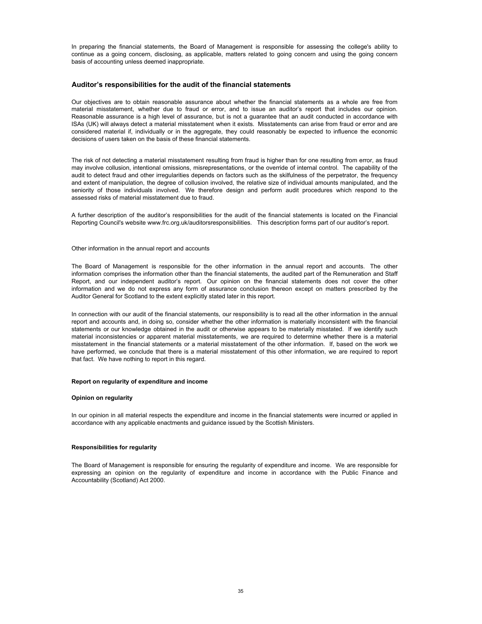In preparing the financial statements, the Board of Management is responsible for assessing the college's ability to continue as a going concern, disclosing, as applicable, matters related to going concern and using the going concern basis of accounting unless deemed inappropriate.

## **Auditor's responsibilities for the audit of the financial statements**

Our objectives are to obtain reasonable assurance about whether the financial statements as a whole are free from material misstatement, whether due to fraud or error, and to issue an auditor's report that includes our opinion. Reasonable assurance is a high level of assurance, but is not a guarantee that an audit conducted in accordance with ISAs (UK) will always detect a material misstatement when it exists. Misstatements can arise from fraud or error and are considered material if, individually or in the aggregate, they could reasonably be expected to influence the economic decisions of users taken on the basis of these financial statements.

The risk of not detecting a material misstatement resulting from fraud is higher than for one resulting from error, as fraud may involve collusion, intentional omissions, misrepresentations, or the override of internal control. The capability of the audit to detect fraud and other irregularities depends on factors such as the skilfulness of the perpetrator, the frequency and extent of manipulation, the degree of collusion involved, the relative size of individual amounts manipulated, and the seniority of those individuals involved. We therefore design and perform audit procedures which respond to the assessed risks of material misstatement due to fraud.

A further description of the auditor's responsibilities for the audit of the financial statements is located on the Financial Reporting Council's website www.frc.org.uk/auditorsresponsibilities. This description forms part of our auditor's report.

### Other information in the annual report and accounts

The Board of Management is responsible for the other information in the annual report and accounts. The other information comprises the information other than the financial statements, the audited part of the Remuneration and Staff Report, and our independent auditor's report. Our opinion on the financial statements does not cover the other information and we do not express any form of assurance conclusion thereon except on matters prescribed by the Auditor General for Scotland to the extent explicitly stated later in this report.

In connection with our audit of the financial statements, our responsibility is to read all the other information in the annual report and accounts and, in doing so, consider whether the other information is materially inconsistent with the financial statements or our knowledge obtained in the audit or otherwise appears to be materially misstated. If we identify such material inconsistencies or apparent material misstatements, we are required to determine whether there is a material misstatement in the financial statements or a material misstatement of the other information. If, based on the work we have performed, we conclude that there is a material misstatement of this other information, we are required to report that fact. We have nothing to report in this regard.

### **Report on regularity of expenditure and income**

### **Opinion on regularity**

In our opinion in all material respects the expenditure and income in the financial statements were incurred or applied in accordance with any applicable enactments and guidance issued by the Scottish Ministers.

### **Responsibilities for regularity**

The Board of Management is responsible for ensuring the regularity of expenditure and income. We are responsible for expressing an opinion on the regularity of expenditure and income in accordance with the Public Finance and Accountability (Scotland) Act 2000.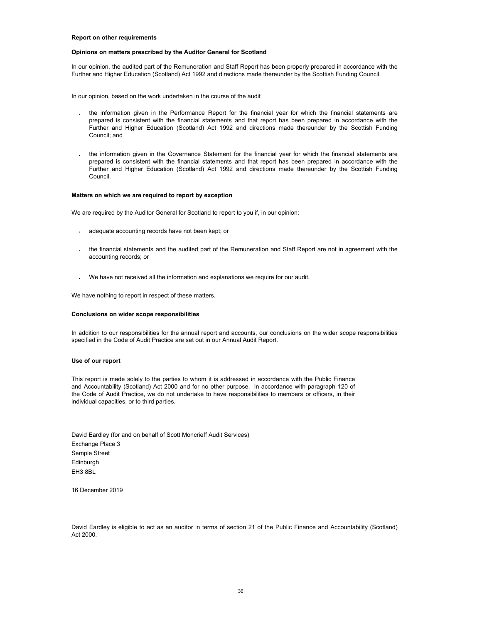#### **Report on other requirements**

#### **Opinions on matters prescribed by the Auditor General for Scotland**

In our opinion, the audited part of the Remuneration and Staff Report has been properly prepared in accordance with the Further and Higher Education (Scotland) Act 1992 and directions made thereunder by the Scottish Funding Council.

In our opinion, based on the work undertaken in the course of the audit

- **∙** the information given in the Performance Report for the financial year for which the financial statements are prepared is consistent with the financial statements and that report has been prepared in accordance with the Further and Higher Education (Scotland) Act 1992 and directions made thereunder by the Scottish Funding Council; and
- **∙** the information given in the Governance Statement for the financial year for which the financial statements are prepared is consistent with the financial statements and that report has been prepared in accordance with the Further and Higher Education (Scotland) Act 1992 and directions made thereunder by the Scottish Funding Council.

#### **Matters on which we are required to report by exception**

We are required by the Auditor General for Scotland to report to you if, in our opinion:

- **∙** adequate accounting records have not been kept; or
- **∙** the financial statements and the audited part of the Remuneration and Staff Report are not in agreement with the accounting records; or
- **∙** We have not received all the information and explanations we require for our audit.

We have nothing to report in respect of these matters.

#### **Conclusions on wider scope responsibilities**

In addition to our responsibilities for the annual report and accounts, our conclusions on the wider scope responsibilities specified in the Code of Audit Practice are set out in our Annual Audit Report.

### **Use of our report**

This report is made solely to the parties to whom it is addressed in accordance with the Public Finance and Accountability (Scotland) Act 2000 and for no other purpose. In accordance with paragraph 120 of the Code of Audit Practice, we do not undertake to have responsibilities to members or officers, in their individual capacities, or to third parties.

EH3 8BL Semple Street David Eardley (for and on behalf of Scott Moncrieff Audit Services) **Edinburgh** Exchange Place 3

16 December 2019

David Eardley is eligible to act as an auditor in terms of section 21 of the Public Finance and Accountability (Scotland) Act 2000.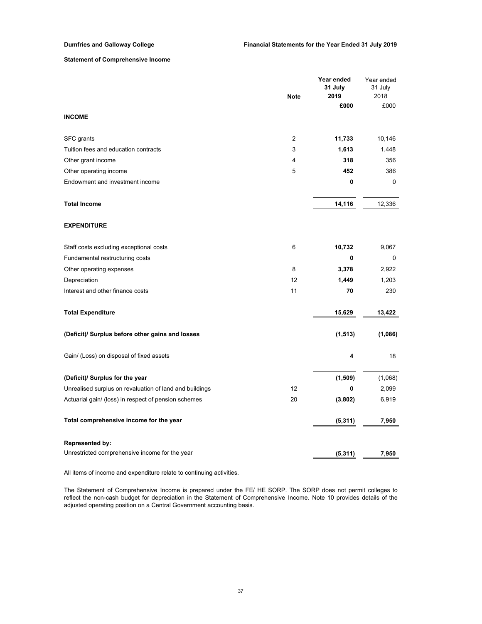## **Statement of Comprehensive Income**

|                                                         |                | Year ended<br>31 July | Year ended<br>31 July |
|---------------------------------------------------------|----------------|-----------------------|-----------------------|
|                                                         | <b>Note</b>    | 2019                  | 2018                  |
|                                                         |                | £000                  | £000                  |
| <b>INCOME</b>                                           |                |                       |                       |
| SFC grants                                              | $\overline{2}$ | 11,733                | 10,146                |
| Tuition fees and education contracts                    | 3              | 1,613                 | 1,448                 |
| Other grant income                                      | 4              | 318                   | 356                   |
| Other operating income                                  | 5              | 452                   | 386                   |
| Endowment and investment income                         |                | 0                     | $\Omega$              |
| <b>Total Income</b>                                     |                | 14,116                | 12,336                |
| <b>EXPENDITURE</b>                                      |                |                       |                       |
| Staff costs excluding exceptional costs                 | 6              | 10,732                | 9,067                 |
| Fundamental restructuring costs                         |                | 0                     | 0                     |
| Other operating expenses                                | 8              | 3,378                 | 2,922                 |
| Depreciation                                            | 12             | 1,449                 | 1,203                 |
| Interest and other finance costs                        | 11             | 70                    | 230                   |
| <b>Total Expenditure</b>                                |                | 15,629                | 13,422                |
| (Deficit)/ Surplus before other gains and losses        |                | (1, 513)              | (1,086)               |
| Gain/ (Loss) on disposal of fixed assets                |                | 4                     | 18                    |
| (Deficit)/ Surplus for the year                         |                | (1,509)               | (1,068)               |
| Unrealised surplus on revaluation of land and buildings | 12             | 0                     | 2,099                 |
| Actuarial gain/ (loss) in respect of pension schemes    | 20             | (3,802)               | 6,919                 |
| Total comprehensive income for the year                 |                | (5, 311)              | 7,950                 |
| <b>Represented by:</b>                                  |                |                       |                       |
| Unrestricted comprehensive income for the year          |                | (5, 311)              | 7,950                 |

All items of income and expenditure relate to continuing activities.

The Statement of Comprehensive Income is prepared under the FE/ HE SORP. The SORP does not permit colleges to reflect the non-cash budget for depreciation in the Statement of Comprehensive Income. Note 10 provides details of the adjusted operating position on a Central Government accounting basis.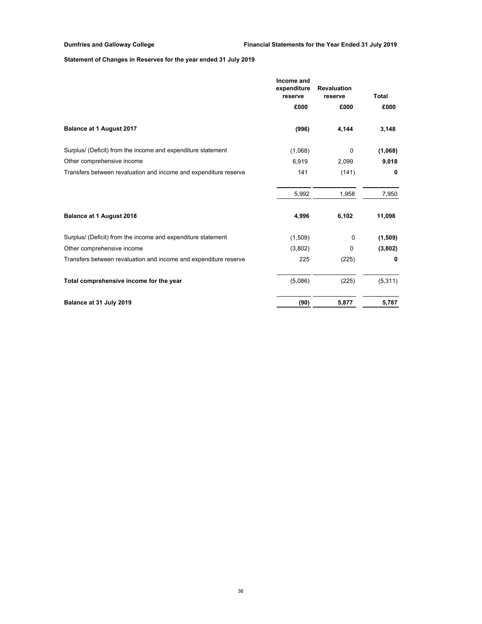# **Statement of Changes in Reserves for the year ended 31 July 2019**

|                                                                  | Income and<br>expenditure<br>reserve | <b>Revaluation</b><br>reserve | <b>Total</b> |
|------------------------------------------------------------------|--------------------------------------|-------------------------------|--------------|
|                                                                  | £000                                 | £000                          | £000         |
| Balance at 1 August 2017                                         | (996)                                | 4,144                         | 3,148        |
| Surplus/ (Deficit) from the income and expenditure statement     | (1,068)                              | 0                             | (1,068)      |
| Other comprehensive income                                       | 6,919                                | 2,099                         | 9,018        |
| Transfers between revaluation and income and expenditure reserve | 141                                  | (141)                         | 0            |
|                                                                  | 5,992                                | 1,958                         | 7,950        |
| Balance at 1 August 2018                                         | 4,996                                | 6,102                         | 11,098       |
| Surplus/ (Deficit) from the income and expenditure statement     | (1,509)                              | 0                             | (1, 509)     |
| Other comprehensive income                                       | (3,802)                              | 0                             | (3,802)      |
| Transfers between revaluation and income and expenditure reserve | 225                                  | (225)                         | 0            |
| Total comprehensive income for the year                          | (5,086)                              | (225)                         | (5,311)      |
| Balance at 31 July 2019                                          | (90)                                 | 5,877                         | 5,787        |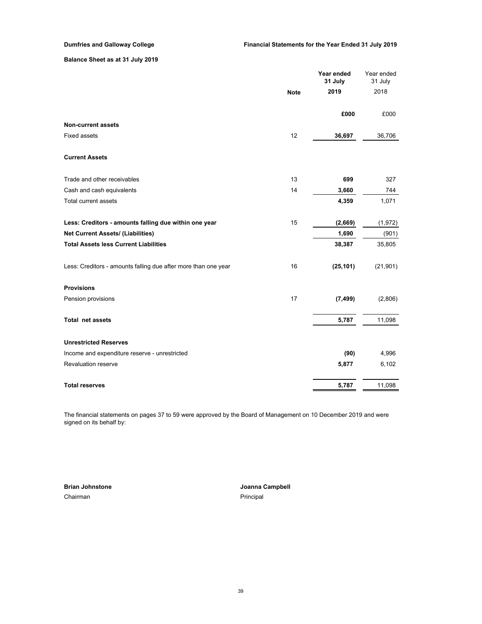# **Balance Sheet as at 31 July 2019**

|                                                                |             | Year ended<br>31 July | Year ended<br>31 July |
|----------------------------------------------------------------|-------------|-----------------------|-----------------------|
|                                                                | <b>Note</b> | 2019                  | 2018                  |
|                                                                |             | £000                  | £000                  |
| <b>Non-current assets</b>                                      |             |                       |                       |
| <b>Fixed assets</b>                                            | 12          | 36,697                | 36,706                |
| <b>Current Assets</b>                                          |             |                       |                       |
| Trade and other receivables                                    | 13          | 699                   | 327                   |
| Cash and cash equivalents                                      | 14          | 3,660                 | 744                   |
| Total current assets                                           |             | 4,359                 | 1,071                 |
| Less: Creditors - amounts falling due within one year          | 15          | (2,669)               | (1, 972)              |
| Net Current Assets/ (Liabilities)                              |             | 1,690                 | (901)                 |
| <b>Total Assets less Current Liabilities</b>                   |             | 38,387                | 35,805                |
| Less: Creditors - amounts falling due after more than one year | 16          | (25, 101)             | (21, 901)             |
| <b>Provisions</b>                                              |             |                       |                       |
| Pension provisions                                             | 17          | (7, 499)              | (2,806)               |
| <b>Total net assets</b>                                        |             | 5,787                 | 11,098                |
| <b>Unrestricted Reserves</b>                                   |             |                       |                       |
| Income and expenditure reserve - unrestricted                  |             | (90)                  | 4,996                 |
| <b>Revaluation reserve</b>                                     |             | 5,877                 | 6,102                 |
| <b>Total reserves</b>                                          |             | 5,787                 | 11,098                |

The financial statements on pages 37 to 59 were approved by the Board of Management on 10 December 2019 and were signed on its behalf by:

Chairman **Principal Brian Johnstone**

**Joanna Campbell**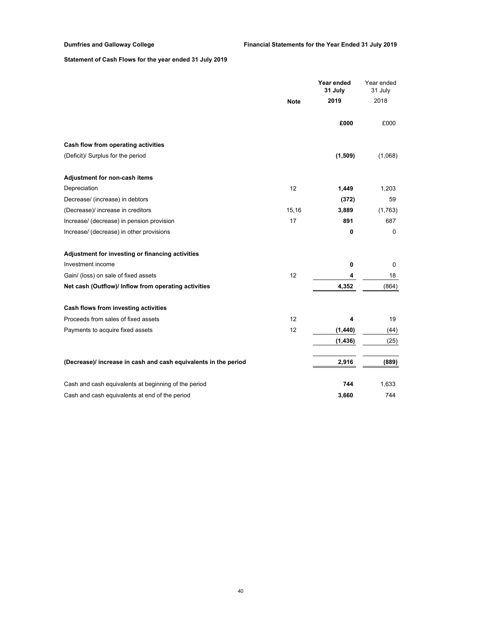# **Statement of Cash Flows for the year ended 31 July 2019**

|                                                                 |             | Year ended<br>31 July | Year ended<br>31 July |
|-----------------------------------------------------------------|-------------|-----------------------|-----------------------|
|                                                                 | <b>Note</b> | 2019                  | 2018                  |
|                                                                 |             | £000                  | £000                  |
| Cash flow from operating activities                             |             |                       |                       |
| (Deficit)/ Surplus for the period                               |             | (1,509)               | (1,068)               |
| Adjustment for non-cash items                                   |             |                       |                       |
| Depreciation                                                    | 12          | 1,449                 | 1,203                 |
| Decrease/ (increase) in debtors                                 |             | (372)                 | 59                    |
| (Decrease)/ increase in creditors                               | 15,16       | 3,889                 | (1,763)               |
| Increase/ (decrease) in pension provision                       | 17          | 891                   | 687                   |
| Increase/ (decrease) in other provisions                        |             | 0                     | $\mathbf 0$           |
| Adjustment for investing or financing activities                |             |                       |                       |
| Investment income                                               |             | 0                     | $\pmb{0}$             |
| Gain/ (loss) on sale of fixed assets                            | 12          | 4                     | 18                    |
| Net cash (Outflow)/ Inflow from operating activities            |             | 4,352                 | (864)                 |
| Cash flows from investing activities                            |             |                       |                       |
| Proceeds from sales of fixed assets                             | 12          | 4                     | 19                    |
| Payments to acquire fixed assets                                | 12          | (1,440)               | (44)                  |
|                                                                 |             | (1, 436)              | (25)                  |
| (Decrease)/ increase in cash and cash equivalents in the period |             | 2,916                 | (889)                 |
| Cash and cash equivalents at beginning of the period            |             | 744                   | 1,633                 |
| Cash and cash equivalents at end of the period                  |             | 3,660                 | 744                   |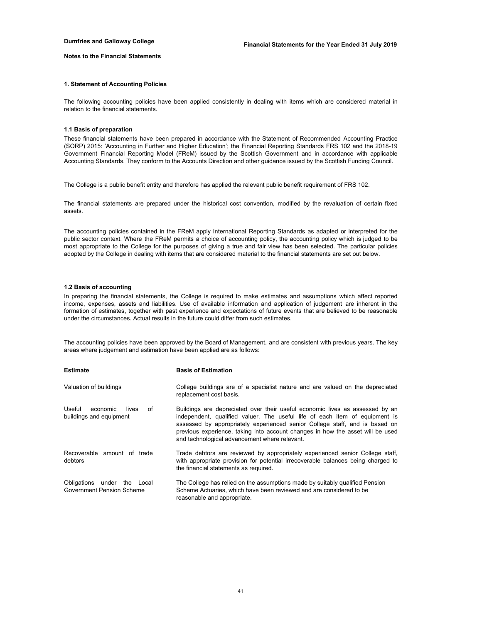## **Notes to the Financial Statements**

### **1. Statement of Accounting Policies**

The following accounting policies have been applied consistently in dealing with items which are considered material in relation to the financial statements.

## **1.1 Basis of preparation**

These financial statements have been prepared in accordance with the Statement of Recommended Accounting Practice (SORP) 2015: 'Accounting in Further and Higher Education'; the Financial Reporting Standards FRS 102 and the 2018-19 Government Financial Reporting Model (FReM) issued by the Scottish Government and in accordance with applicable Accounting Standards. They conform to the Accounts Direction and other guidance issued by the Scottish Funding Council.

The College is a public benefit entity and therefore has applied the relevant public benefit requirement of FRS 102.

The financial statements are prepared under the historical cost convention, modified by the revaluation of certain fixed assets.

The accounting policies contained in the FReM apply International Reporting Standards as adapted or interpreted for the public sector context. Where the FReM permits a choice of accounting policy, the accounting policy which is judged to be most appropriate to the College for the purposes of giving a true and fair view has been selected. The particular policies adopted by the College in dealing with items that are considered material to the financial statements are set out below.

### **1.2 Basis of accounting**

In preparing the financial statements, the College is required to make estimates and assumptions which affect reported income, expenses, assets and liabilities. Use of available information and application of judgement are inherent in the formation of estimates, together with past experience and expectations of future events that are believed to be reasonable under the circumstances. Actual results in the future could differ from such estimates.

The accounting policies have been approved by the Board of Management, and are consistent with previous years. The key areas where judgement and estimation have been applied are as follows:

| <b>Estimate</b>                                              | <b>Basis of Estimation</b>                                                                                                                                                                                                                                                                                                                                                    |
|--------------------------------------------------------------|-------------------------------------------------------------------------------------------------------------------------------------------------------------------------------------------------------------------------------------------------------------------------------------------------------------------------------------------------------------------------------|
| Valuation of buildings                                       | College buildings are of a specialist nature and are valued on the depreciated<br>replacement cost basis.                                                                                                                                                                                                                                                                     |
| Useful<br>economic<br>lives<br>Ωf<br>buildings and equipment | Buildings are depreciated over their useful economic lives as assessed by an<br>independent, qualified valuer. The useful life of each item of equipment is<br>assessed by appropriately experienced senior College staff, and is based on<br>previous experience, taking into account changes in how the asset will be used<br>and technological advancement where relevant. |
| Recoverable amount of trade<br>debtors                       | Trade debtors are reviewed by appropriately experienced senior College staff,<br>with appropriate provision for potential irrecoverable balances being charged to<br>the financial statements as required.                                                                                                                                                                    |
| Obligations under the Local<br>Government Pension Scheme     | The College has relied on the assumptions made by suitably qualified Pension<br>Scheme Actuaries, which have been reviewed and are considered to be<br>reasonable and appropriate.                                                                                                                                                                                            |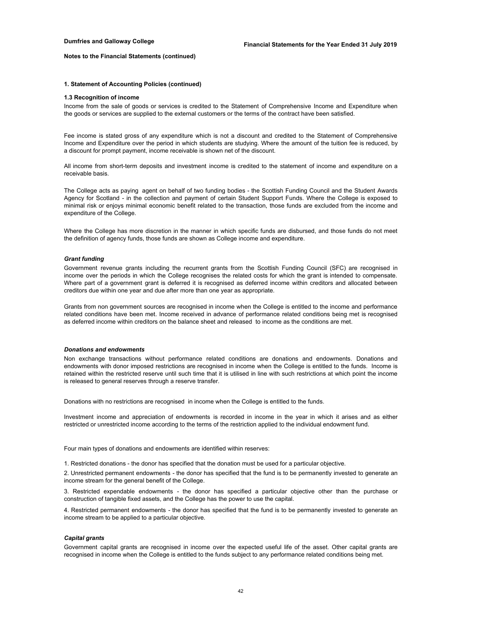#### **1. Statement of Accounting Policies (continued)**

#### **1.3 Recognition of income**

Income from the sale of goods or services is credited to the Statement of Comprehensive Income and Expenditure when the goods or services are supplied to the external customers or the terms of the contract have been satisfied.

Fee income is stated gross of any expenditure which is not a discount and credited to the Statement of Comprehensive Income and Expenditure over the period in which students are studying. Where the amount of the tuition fee is reduced, by a discount for prompt payment, income receivable is shown net of the discount.

All income from short-term deposits and investment income is credited to the statement of income and expenditure on a receivable basis.

The College acts as paying agent on behalf of two funding bodies - the Scottish Funding Council and the Student Awards Agency for Scotland - in the collection and payment of certain Student Support Funds. Where the College is exposed to minimal risk or enjoys minimal economic benefit related to the transaction, those funds are excluded from the income and expenditure of the College.

Where the College has more discretion in the manner in which specific funds are disbursed, and those funds do not meet the definition of agency funds, those funds are shown as College income and expenditure.

## *Grant funding*

Government revenue grants including the recurrent grants from the Scottish Funding Council (SFC) are recognised in income over the periods in which the College recognises the related costs for which the grant is intended to compensate. Where part of a government grant is deferred it is recognised as deferred income within creditors and allocated between creditors due within one year and due after more than one year as appropriate.

Grants from non government sources are recognised in income when the College is entitled to the income and performance related conditions have been met. Income received in advance of performance related conditions being met is recognised as deferred income within creditors on the balance sheet and released to income as the conditions are met.

### *Donations and endowments*

Non exchange transactions without performance related conditions are donations and endowments. Donations and endowments with donor imposed restrictions are recognised in income when the College is entitled to the funds. Income is retained within the restricted reserve until such time that it is utilised in line with such restrictions at which point the income is released to general reserves through a reserve transfer.

Donations with no restrictions are recognised in income when the College is entitled to the funds.

Investment income and appreciation of endowments is recorded in income in the year in which it arises and as either restricted or unrestricted income according to the terms of the restriction applied to the individual endowment fund.

Four main types of donations and endowments are identified within reserves:

1. Restricted donations - the donor has specified that the donation must be used for a particular objective.

2. Unrestricted permanent endowments - the donor has specified that the fund is to be permanently invested to generate an income stream for the general benefit of the College.

3. Restricted expendable endowments - the donor has specified a particular objective other than the purchase or construction of tangible fixed assets, and the College has the power to use the capital.

4. Restricted permanent endowments - the donor has specified that the fund is to be permanently invested to generate an income stream to be applied to a particular objective.

### *Capital grants*

Government capital grants are recognised in income over the expected useful life of the asset. Other capital grants are recognised in income when the College is entitled to the funds subject to any performance related conditions being met.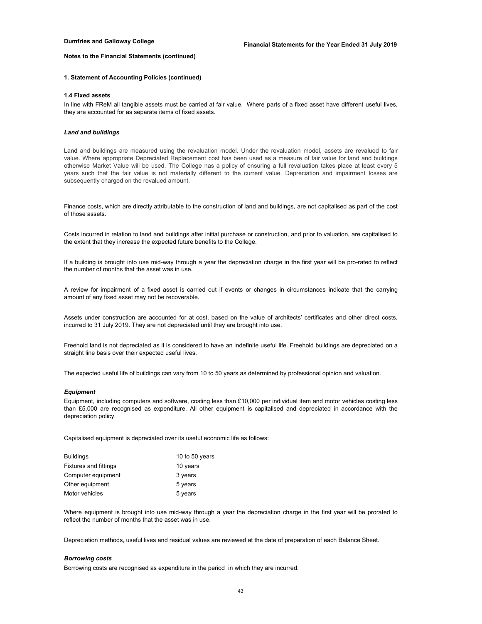## **1. Statement of Accounting Policies (continued)**

### **1.4 Fixed assets**

In line with FReM all tangible assets must be carried at fair value. Where parts of a fixed asset have different useful lives, they are accounted for as separate items of fixed assets.

#### *Land and buildings*

Land and buildings are measured using the revaluation model. Under the revaluation model, assets are revalued to fair value. Where appropriate Depreciated Replacement cost has been used as a measure of fair value for land and buildings otherwise Market Value will be used. The College has a policy of ensuring a full revaluation takes place at least every 5 years such that the fair value is not materially different to the current value. Depreciation and impairment losses are subsequently charged on the revalued amount.

Finance costs, which are directly attributable to the construction of land and buildings, are not capitalised as part of the cost of those assets.

Costs incurred in relation to land and buildings after initial purchase or construction, and prior to valuation, are capitalised to the extent that they increase the expected future benefits to the College.

If a building is brought into use mid-way through a year the depreciation charge in the first year will be pro-rated to reflect the number of months that the asset was in use.

A review for impairment of a fixed asset is carried out if events or changes in circumstances indicate that the carrying amount of any fixed asset may not be recoverable.

Assets under construction are accounted for at cost, based on the value of architects' certificates and other direct costs, incurred to 31 July 2019. They are not depreciated until they are brought into use.

Freehold land is not depreciated as it is considered to have an indefinite useful life. Freehold buildings are depreciated on a straight line basis over their expected useful lives.

The expected useful life of buildings can vary from 10 to 50 years as determined by professional opinion and valuation.

#### *Equipment*

Equipment, including computers and software, costing less than £10,000 per individual item and motor vehicles costing less than £5,000 are recognised as expenditure. All other equipment is capitalised and depreciated in accordance with the depreciation policy.

Capitalised equipment is depreciated over its useful economic life as follows:

| Buildings             | 10 to 50 years |
|-----------------------|----------------|
| Fixtures and fittings | 10 years       |
| Computer equipment    | 3 years        |
| Other equipment       | 5 years        |
| Motor vehicles        | 5 years        |

Where equipment is brought into use mid-way through a year the depreciation charge in the first year will be prorated to reflect the number of months that the asset was in use.

Depreciation methods, useful lives and residual values are reviewed at the date of preparation of each Balance Sheet.

#### *Borrowing costs*

Borrowing costs are recognised as expenditure in the period in which they are incurred.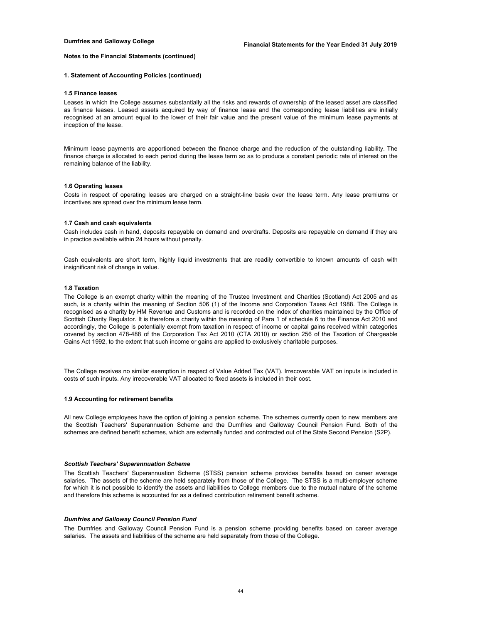### **1. Statement of Accounting Policies (continued)**

#### **1.5 Finance leases**

Leases in which the College assumes substantially all the risks and rewards of ownership of the leased asset are classified as finance leases. Leased assets acquired by way of finance lease and the corresponding lease liabilities are initially recognised at an amount equal to the lower of their fair value and the present value of the minimum lease payments at inception of the lease.

Minimum lease payments are apportioned between the finance charge and the reduction of the outstanding liability. The finance charge is allocated to each period during the lease term so as to produce a constant periodic rate of interest on the remaining balance of the liability.

#### **1.6 Operating leases**

Costs in respect of operating leases are charged on a straight-line basis over the lease term. Any lease premiums or incentives are spread over the minimum lease term.

#### **1.7 Cash and cash equivalents**

Cash includes cash in hand, deposits repayable on demand and overdrafts. Deposits are repayable on demand if they are in practice available within 24 hours without penalty.

Cash equivalents are short term, highly liquid investments that are readily convertible to known amounts of cash with insignificant risk of change in value.

#### **1.8 Taxation**

The College is an exempt charity within the meaning of the Trustee Investment and Charities (Scotland) Act 2005 and as such, is a charity within the meaning of Section 506 (1) of the Income and Corporation Taxes Act 1988. The College is recognised as a charity by HM Revenue and Customs and is recorded on the index of charities maintained by the Office of Scottish Charity Regulator. It is therefore a charity within the meaning of Para 1 of schedule 6 to the Finance Act 2010 and accordingly, the College is potentially exempt from taxation in respect of income or capital gains received within categories covered by section 478-488 of the Corporation Tax Act 2010 (CTA 2010) or section 256 of the Taxation of Chargeable Gains Act 1992, to the extent that such income or gains are applied to exclusively charitable purposes.

The College receives no similar exemption in respect of Value Added Tax (VAT). Irrecoverable VAT on inputs is included in costs of such inputs. Any irrecoverable VAT allocated to fixed assets is included in their cost.

#### **1.9 Accounting for retirement benefits**

All new College employees have the option of joining a pension scheme. The schemes currently open to new members are the Scottish Teachers' Superannuation Scheme and the Dumfries and Galloway Council Pension Fund. Both of the schemes are defined benefit schemes, which are externally funded and contracted out of the State Second Pension (S2P).

#### *Scottish Teachers' Superannuation Scheme*

The Scottish Teachers' Superannuation Scheme (STSS) pension scheme provides benefits based on career average salaries. The assets of the scheme are held separately from those of the College. The STSS is a multi-employer scheme for which it is not possible to identify the assets and liabilities to College members due to the mutual nature of the scheme and therefore this scheme is accounted for as a defined contribution retirement benefit scheme.

#### *Dumfries and Galloway Council Pension Fund*

The Dumfries and Galloway Council Pension Fund is a pension scheme providing benefits based on career average salaries. The assets and liabilities of the scheme are held separately from those of the College.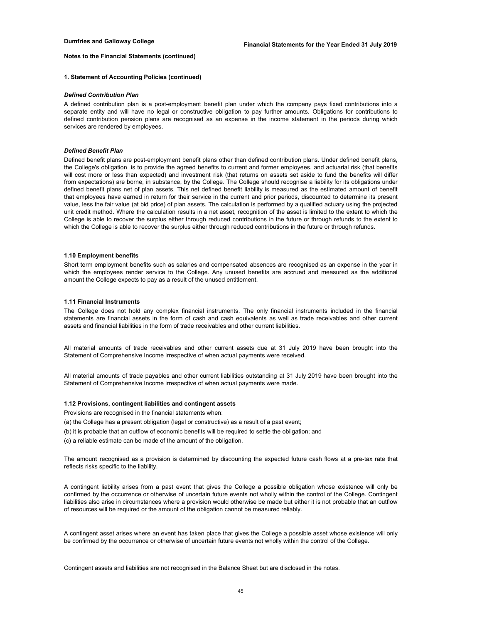#### **1. Statement of Accounting Policies (continued)**

#### *Defined Contribution Plan*

A defined contribution plan is a post-employment benefit plan under which the company pays fixed contributions into a separate entity and will have no legal or constructive obligation to pay further amounts. Obligations for contributions to defined contribution pension plans are recognised as an expense in the income statement in the periods during which services are rendered by employees.

#### *Defined Benefit Plan*

Defined benefit plans are post-employment benefit plans other than defined contribution plans. Under defined benefit plans, the College's obligation is to provide the agreed benefits to current and former employees, and actuarial risk (that benefits will cost more or less than expected) and investment risk (that returns on assets set aside to fund the benefits will differ from expectations) are borne, in substance, by the College. The College should recognise a liability for its obligations under defined benefit plans net of plan assets. This net defined benefit liability is measured as the estimated amount of benefit that employees have earned in return for their service in the current and prior periods, discounted to determine its present value, less the fair value (at bid price) of plan assets. The calculation is performed by a qualified actuary using the projected unit credit method. Where the calculation results in a net asset, recognition of the asset is limited to the extent to which the College is able to recover the surplus either through reduced contributions in the future or through refunds to the extent to which the College is able to recover the surplus either through reduced contributions in the future or through refunds.

#### **1.10 Employment benefits**

Short term employment benefits such as salaries and compensated absences are recognised as an expense in the year in which the employees render service to the College. Any unused benefits are accrued and measured as the additional amount the College expects to pay as a result of the unused entitlement.

### **1.11 Financial Instruments**

The College does not hold any complex financial instruments. The only financial instruments included in the financial statements are financial assets in the form of cash and cash equivalents as well as trade receivables and other current assets and financial liabilities in the form of trade receivables and other current liabilities.

All material amounts of trade receivables and other current assets due at 31 July 2019 have been brought into the Statement of Comprehensive Income irrespective of when actual payments were received.

All material amounts of trade payables and other current liabilities outstanding at 31 July 2019 have been brought into the Statement of Comprehensive Income irrespective of when actual payments were made.

## **1.12 Provisions, contingent liabilities and contingent assets**

Provisions are recognised in the financial statements when:

(a) the College has a present obligation (legal or constructive) as a result of a past event;

- (b) it is probable that an outflow of economic benefits will be required to settle the obligation; and
- (c) a reliable estimate can be made of the amount of the obligation.

The amount recognised as a provision is determined by discounting the expected future cash flows at a pre-tax rate that reflects risks specific to the liability.

A contingent liability arises from a past event that gives the College a possible obligation whose existence will only be confirmed by the occurrence or otherwise of uncertain future events not wholly within the control of the College. Contingent liabilities also arise in circumstances where a provision would otherwise be made but either it is not probable that an outflow of resources will be required or the amount of the obligation cannot be measured reliably.

A contingent asset arises where an event has taken place that gives the College a possible asset whose existence will only be confirmed by the occurrence or otherwise of uncertain future events not wholly within the control of the College.

Contingent assets and liabilities are not recognised in the Balance Sheet but are disclosed in the notes.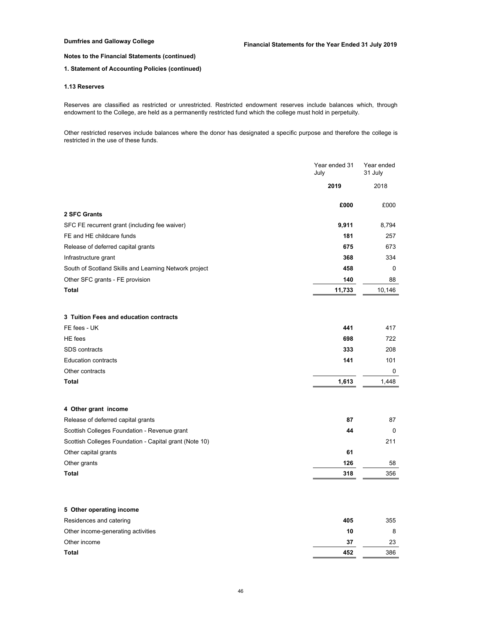## **1. Statement of Accounting Policies (continued)**

## **1.13 Reserves**

Reserves are classified as restricted or unrestricted. Restricted endowment reserves include balances which, through endowment to the College, are held as a permanently restricted fund which the college must hold in perpetuity.

Other restricted reserves include balances where the donor has designated a specific purpose and therefore the college is restricted in the use of these funds.

|                                                        | Year ended 31<br>July | Year ended<br>31 July |
|--------------------------------------------------------|-----------------------|-----------------------|
|                                                        | 2019                  | 2018                  |
|                                                        | £000                  | £000                  |
| 2 SFC Grants                                           |                       |                       |
| SFC FE recurrent grant (including fee waiver)          | 9,911                 | 8,794                 |
| FE and HE childcare funds                              | 181                   | 257                   |
| Release of deferred capital grants                     | 675                   | 673                   |
| Infrastructure grant                                   | 368                   | 334                   |
| South of Scotland Skills and Learning Network project  | 458                   | 0                     |
| Other SFC grants - FE provision                        | 140                   | 88                    |
| <b>Total</b>                                           | 11,733                | 10,146                |
| 3 Tuition Fees and education contracts                 |                       |                       |
| FE fees - UK                                           | 441                   | 417                   |
| <b>HE</b> fees                                         | 698                   | 722                   |
| SDS contracts                                          | 333                   | 208                   |
| <b>Education contracts</b>                             | 141                   | 101                   |
| Other contracts                                        |                       | 0                     |
| <b>Total</b>                                           | 1,613                 | 1,448                 |
| 4 Other grant income                                   |                       |                       |
| Release of deferred capital grants                     | 87                    | 87                    |
| Scottish Colleges Foundation - Revenue grant           | 44                    | 0                     |
| Scottish Colleges Foundation - Capital grant (Note 10) |                       | 211                   |
| Other capital grants                                   | 61                    |                       |
| Other grants                                           | 126                   | 58                    |
| <b>Total</b>                                           | 318                   | 356                   |
| 5 Other operating income                               |                       |                       |
| Residences and catering                                | 405                   | 355                   |
| Other income-generating activities                     | 10                    | 8                     |

Other income **37** 23 **Total 452** 386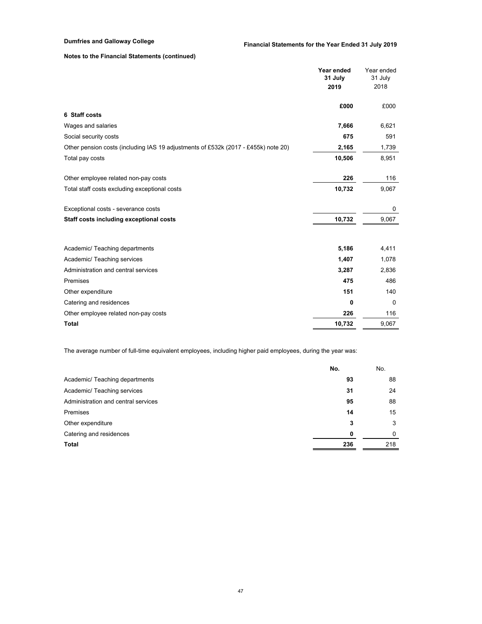|                                                                                    | Year ended<br>31 July<br>2019 | Year ended<br>31 July<br>2018 |
|------------------------------------------------------------------------------------|-------------------------------|-------------------------------|
| 6 Staff costs                                                                      | £000                          | £000                          |
|                                                                                    |                               |                               |
| Wages and salaries                                                                 | 7,666                         | 6,621                         |
| Social security costs                                                              | 675                           | 591                           |
| Other pension costs (including IAS 19 adjustments of £532k (2017 - £455k) note 20) | 2,165                         | 1,739                         |
| Total pay costs                                                                    | 10,506                        | 8,951                         |
| Other employee related non-pay costs                                               | 226                           | 116                           |
| Total staff costs excluding exceptional costs                                      | 10,732                        | 9,067                         |
| Exceptional costs - severance costs                                                |                               | 0                             |
| Staff costs including exceptional costs                                            | 10,732                        | 9,067                         |
| Academic/ Teaching departments                                                     | 5,186                         | 4,411                         |
|                                                                                    | 1,407                         | 1,078                         |
| Academic/ Teaching services                                                        |                               |                               |
| Administration and central services                                                | 3,287                         | 2,836                         |
| Premises                                                                           | 475                           | 486                           |
| Other expenditure                                                                  | 151                           | 140                           |
| Catering and residences                                                            | 0                             | $\mathbf 0$                   |
| Other employee related non-pay costs                                               | 226                           | 116                           |
| <b>Total</b>                                                                       | 10,732                        | 9,067                         |

The average number of full-time equivalent employees, including higher paid employees, during the year was:

|                                     | No. | No.      |
|-------------------------------------|-----|----------|
| Academic/ Teaching departments      | 93  | 88       |
| Academic/ Teaching services         | 31  | 24       |
| Administration and central services | 95  | 88       |
| Premises                            | 14  | 15       |
| Other expenditure                   | 3   | 3        |
| Catering and residences             | 0   | $\Omega$ |
| <b>Total</b>                        | 236 | 218      |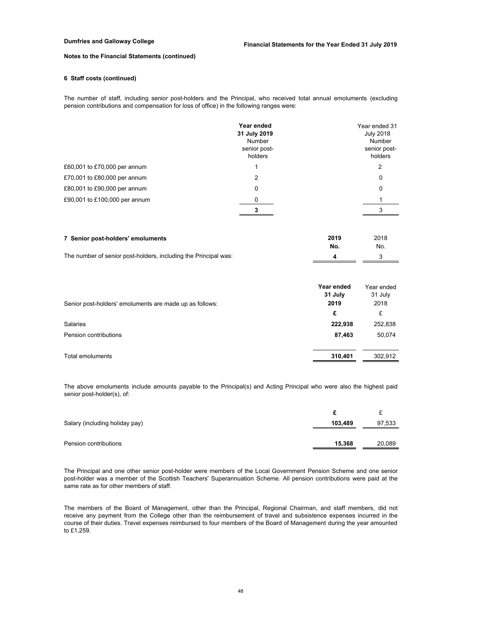## **6 Staff costs (continued)**

The number of staff, including senior post-holders and the Principal, who received total annual emoluments (excluding pension contributions and compensation for loss of office) in the following ranges were:

|                               | Year ended<br>31 July 2019<br>Number<br>senior post-<br>holders | Year ended 31<br><b>July 2018</b><br>Number<br>senior post-<br>holders |
|-------------------------------|-----------------------------------------------------------------|------------------------------------------------------------------------|
| £60,001 to £70,000 per annum  |                                                                 | 2                                                                      |
| £70,001 to £80,000 per annum  | 2                                                               | 0                                                                      |
| £80,001 to £90,000 per annum  | $\Omega$                                                        | 0                                                                      |
| £90,001 to £100,000 per annum |                                                                 |                                                                        |
|                               |                                                                 |                                                                        |
|                               |                                                                 |                                                                        |

| 7 Senior post-holders' emoluments                               | 2019<br>No. | 2018<br>No. |
|-----------------------------------------------------------------|-------------|-------------|
| The number of senior post-holders, including the Principal was: |             |             |

|                                                         | Year ended<br>31 July | Year ended<br>31 July |
|---------------------------------------------------------|-----------------------|-----------------------|
| Senior post-holders' emoluments are made up as follows: | 2019                  | 2018                  |
|                                                         | £                     | £                     |
| Salaries                                                | 222,938               | 252,838               |
| Pension contributions                                   | 87,463                | 50,074                |
| Total emoluments                                        | 310.401               | 302.912               |

The above emoluments include amounts payable to the Principal(s) and Acting Principal who were also the highest paid senior post-holder(s), of:

| Salary (including holiday pay) | 103,489 | 97,533 |
|--------------------------------|---------|--------|
| Pension contributions          | 15,368  | 20,089 |

The Principal and one other senior post-holder were members of the Local Government Pension Scheme and one senior post-holder was a member of the Scottish Teachers' Superannuation Scheme. All pension contributions were paid at the same rate as for other members of staff.

The members of the Board of Management, other than the Principal, Regional Chairman, and staff members, did not receive any payment from the College other than the reimbursement of travel and subsistence expenses incurred in the course of their duties. Travel expenses reimbursed to four members of the Board of Management during the year amounted to £1,259.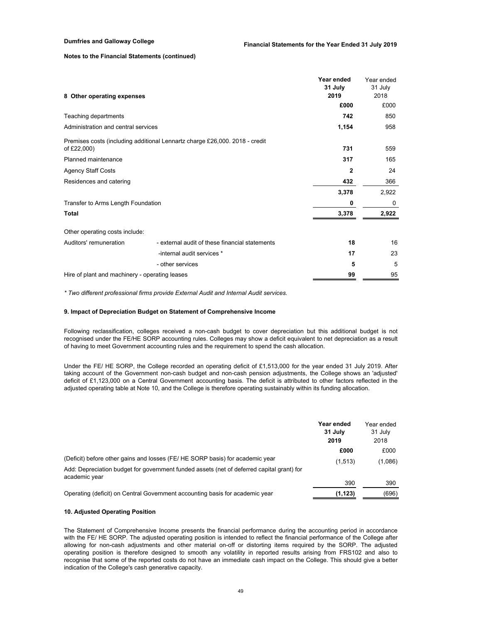| 8 Other operating expenses                     |                                                                             | Year ended<br>31 July<br>2019 | Year ended<br>31 July<br>2018 |
|------------------------------------------------|-----------------------------------------------------------------------------|-------------------------------|-------------------------------|
|                                                |                                                                             | £000                          | £000                          |
| Teaching departments                           |                                                                             | 742                           | 850                           |
| Administration and central services            |                                                                             | 1,154                         | 958                           |
|                                                | Premises costs (including additional Lennartz charge £26,000. 2018 - credit |                               |                               |
| of £22,000)                                    |                                                                             | 731                           | 559                           |
| Planned maintenance                            |                                                                             | 317                           | 165                           |
| <b>Agency Staff Costs</b>                      |                                                                             | 2                             | 24                            |
| Residences and catering                        |                                                                             | 432                           | 366                           |
|                                                |                                                                             | 3,378                         | 2,922                         |
| Transfer to Arms Length Foundation             |                                                                             | 0                             | 0                             |
| <b>Total</b>                                   |                                                                             | 3,378                         | 2,922                         |
| Other operating costs include:                 |                                                                             |                               |                               |
| Auditors' remuneration                         | - external audit of these financial statements                              | 18                            | 16                            |
|                                                | -internal audit services *                                                  | 17                            | 23                            |
|                                                | - other services                                                            | 5                             | 5                             |
| Hire of plant and machinery - operating leases |                                                                             | 99                            | 95                            |

*\* Two different professional firms provide External Audit and Internal Audit services.*

#### **9. Impact of Depreciation Budget on Statement of Comprehensive Income**

Following reclassification, colleges received a non-cash budget to cover depreciation but this additional budget is not recognised under the FE/HE SORP accounting rules. Colleges may show a deficit equivalent to net depreciation as a result of having to meet Government accounting rules and the requirement to spend the cash allocation.

Under the FE/ HE SORP, the College recorded an operating deficit of £1,513,000 for the year ended 31 July 2019. After taking account of the Government non-cash budget and non-cash pension adjustments, the College shows an 'adjusted' deficit of £1,123,000 on a Central Government accounting basis. The deficit is attributed to other factors reflected in the adjusted operating table at Note 10, and the College is therefore operating sustainably within its funding allocation.

|                                                                                                            | Year ended<br>31 July<br>2019 | Year ended<br>31 July<br>2018 |
|------------------------------------------------------------------------------------------------------------|-------------------------------|-------------------------------|
|                                                                                                            | £000                          | £000                          |
| (Deficit) before other gains and losses (FE/HE SORP basis) for academic year                               | (1,513)                       | (1,086)                       |
| Add: Depreciation budget for government funded assets (net of deferred capital grant) for<br>academic year |                               |                               |
|                                                                                                            | 390                           | 390                           |
| Operating (deficit) on Central Government accounting basis for academic year                               | (1, 123)                      | (696)                         |

## **10. Adjusted Operating Position**

The Statement of Comprehensive Income presents the financial performance during the accounting period in accordance with the FE/ HE SORP. The adjusted operating position is intended to reflect the financial performance of the College after allowing for non-cash adjustments and other material on-off or distorting items required by the SORP. The adjusted operating position is therefore designed to smooth any volatility in reported results arising from FRS102 and also to recognise that some of the reported costs do not have an immediate cash impact on the College. This should give a better indication of the College's cash generative capacity.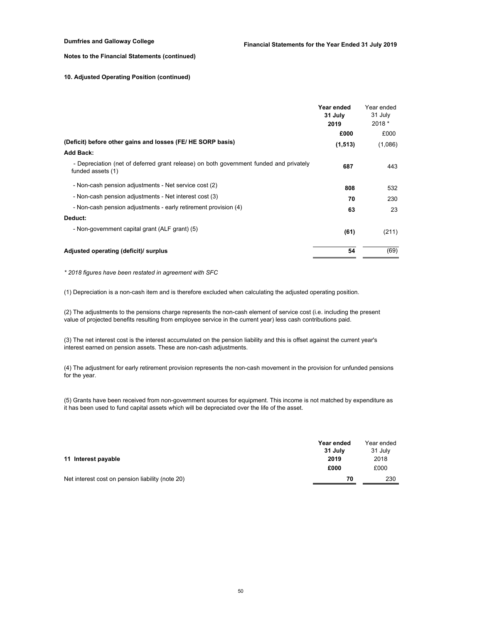## **10. Adjusted Operating Position (continued)**

| (Deficit) before other gains and losses (FE/HE SORP basis)<br>Add Back:                                                                                                            | Year ended<br>31 July<br>2019<br>£000<br>(1, 513) | Year ended<br>31 July<br>2018 *<br>£000<br>(1,086) |
|------------------------------------------------------------------------------------------------------------------------------------------------------------------------------------|---------------------------------------------------|----------------------------------------------------|
| - Depreciation (net of deferred grant release) on both government funded and privately<br>funded assets (1)                                                                        | 687                                               | 443                                                |
| - Non-cash pension adjustments - Net service cost (2)<br>- Non-cash pension adjustments - Net interest cost (3)<br>- Non-cash pension adjustments - early retirement provision (4) | 808<br>70<br>63                                   | 532<br>230<br>23                                   |
| Deduct:<br>- Non-government capital grant (ALF grant) (5)                                                                                                                          | (61)                                              | (211)                                              |
| Adjusted operating (deficit)/ surplus                                                                                                                                              | 54                                                | (69)                                               |

*\* 2018 figures have been restated in agreement with SFC*

(1) Depreciation is a non-cash item and is therefore excluded when calculating the adjusted operating position.

(2) The adjustments to the pensions charge represents the non-cash element of service cost (i.e. including the present value of projected benefits resulting from employee service in the current year) less cash contributions paid.

(3) The net interest cost is the interest accumulated on the pension liability and this is offset against the current year's interest earned on pension assets. These are non-cash adjustments.

(4) The adjustment for early retirement provision represents the non-cash movement in the provision for unfunded pensions for the year.

(5) Grants have been received from non-government sources for equipment. This income is not matched by expenditure as it has been used to fund capital assets which will be depreciated over the life of the asset.

|                                                  | Year ended | Year ended |
|--------------------------------------------------|------------|------------|
|                                                  | 31 July    | 31 July    |
| 11 Interest payable                              | 2019       | 2018       |
|                                                  | £000       | £000       |
| Net interest cost on pension liability (note 20) | 70         | 230        |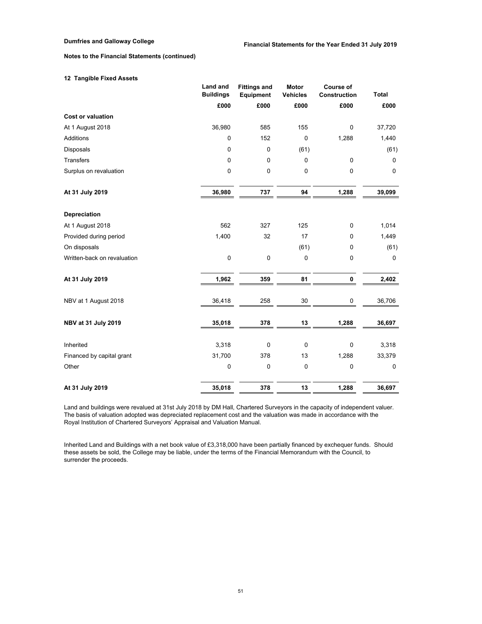# **12 Tangible Fixed Assets**

|                             | <b>Land and</b>  | <b>Fittings and</b> | <b>Motor</b>    | <b>Course of</b>    |              |
|-----------------------------|------------------|---------------------|-----------------|---------------------|--------------|
|                             | <b>Buildings</b> | Equipment           | <b>Vehicles</b> | <b>Construction</b> | <b>Total</b> |
|                             | £000             | £000                | £000            | £000                | £000         |
| <b>Cost or valuation</b>    |                  |                     |                 |                     |              |
| At 1 August 2018            | 36,980           | 585                 | 155             | $\mathbf 0$         | 37,720       |
| <b>Additions</b>            | $\pmb{0}$        | 152                 | 0               | 1,288               | 1,440        |
| Disposals                   | 0                | $\mathbf 0$         | (61)            |                     | (61)         |
| <b>Transfers</b>            | $\mathbf 0$      | $\mathbf 0$         | $\mathbf 0$     | 0                   | 0            |
| Surplus on revaluation      | 0                | 0                   | $\pmb{0}$       | $\pmb{0}$           | $\pmb{0}$    |
| At 31 July 2019             | 36,980           | 737                 | 94              | 1,288               | 39,099       |
| Depreciation                |                  |                     |                 |                     |              |
| At 1 August 2018            | 562              | 327                 | 125             | 0                   | 1,014        |
| Provided during period      | 1,400            | 32                  | 17              | 0                   | 1,449        |
| On disposals                |                  |                     | (61)            | 0                   | (61)         |
| Written-back on revaluation | $\mathbf 0$      | $\mathbf 0$         | $\pmb{0}$       | $\pmb{0}$           | $\mathbf 0$  |
| At 31 July 2019             | 1,962            | 359                 | 81              | 0                   | 2,402        |
| NBV at 1 August 2018        | 36,418           | 258                 | 30              | 0                   | 36,706       |
| NBV at 31 July 2019         | 35,018           | 378                 | 13              | 1,288               | 36,697       |
| Inherited                   | 3,318            | $\mathbf 0$         | $\pmb{0}$       | $\pmb{0}$           | 3,318        |
| Financed by capital grant   | 31,700           | 378                 | 13              | 1,288               | 33,379       |
| Other                       | $\pmb{0}$        | $\pmb{0}$           | $\pmb{0}$       | $\pmb{0}$           | 0            |
| At 31 July 2019             | 35,018           | 378                 | 13              | 1,288               | 36,697       |

Land and buildings were revalued at 31st July 2018 by DM Hall, Chartered Surveyors in the capacity of independent valuer. The basis of valuation adopted was depreciated replacement cost and the valuation was made in accordance with the Royal Institution of Chartered Surveyors' Appraisal and Valuation Manual.

Inherited Land and Buildings with a net book value of £3,318,000 have been partially financed by exchequer funds. Should these assets be sold, the College may be liable, under the terms of the Financial Memorandum with the Council, to surrender the proceeds.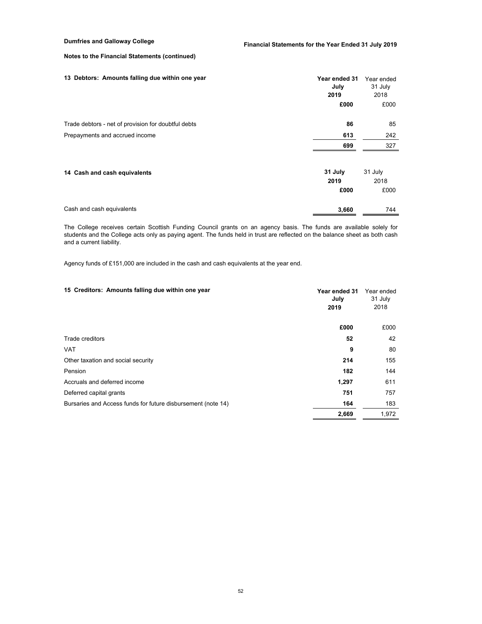| 13 Debtors: Amounts falling due within one year     | Year ended 31<br>July<br>2019<br>£000 | Year ended<br>31 July<br>2018<br>£000 |
|-----------------------------------------------------|---------------------------------------|---------------------------------------|
| Trade debtors - net of provision for doubtful debts | 86                                    | 85                                    |
| Prepayments and accrued income                      | 613                                   | 242                                   |
|                                                     | 699                                   | 327                                   |
| 14 Cash and cash equivalents                        | 31 July<br>2019<br>£000               | 31 July<br>2018<br>£000               |
| Cash and cash equivalents                           | 3,660                                 | 744                                   |

The College receives certain Scottish Funding Council grants on an agency basis. The funds are available solely for students and the College acts only as paying agent. The funds held in trust are reflected on the balance sheet as both cash and a current liability.

Agency funds of £151,000 are included in the cash and cash equivalents at the year end.

| 15 Creditors: Amounts falling due within one year            | Year ended 31<br>July<br>2019 | Year ended<br>31 July<br>2018 |
|--------------------------------------------------------------|-------------------------------|-------------------------------|
|                                                              | £000                          | £000                          |
| Trade creditors                                              | 52                            | 42                            |
| <b>VAT</b>                                                   | 9                             | 80                            |
| Other taxation and social security                           | 214                           | 155                           |
| Pension                                                      | 182                           | 144                           |
| Accruals and deferred income                                 | 1,297                         | 611                           |
| Deferred capital grants                                      | 751                           | 757                           |
| Bursaries and Access funds for future disbursement (note 14) | 164                           | 183                           |
|                                                              | 2,669                         | 1.972                         |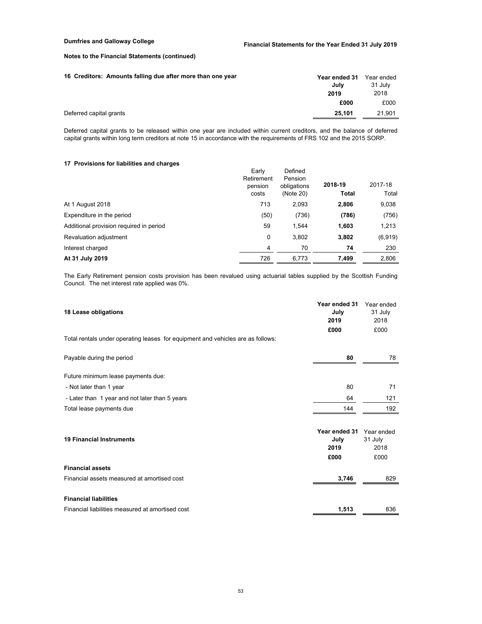| 16 Creditors: Amounts falling due after more than one year | Year ended 31<br>Julv | Year ended<br>31 July |
|------------------------------------------------------------|-----------------------|-----------------------|
|                                                            | 2019                  | 2018                  |
|                                                            | £000                  | £000                  |
| Deferred capital grants                                    | 25.101                | 21,901                |

Deferred capital grants to be released within one year are included within current creditors, and the balance of deferred capital grants within long term creditors at note 15 in accordance with the requirements of FRS 102 and the 2015 SORP.

## **17 Provisions for liabilities and charges**

| <b>IT I TOVISIONS TOP HADIMUSS AND CHAPTER</b> |                                         |                                                |                         |                  |
|------------------------------------------------|-----------------------------------------|------------------------------------------------|-------------------------|------------------|
|                                                | Early<br>Retirement<br>pension<br>costs | Defined<br>Pension<br>obligations<br>(Note 20) | 2018-19<br><b>Total</b> | 2017-18<br>Total |
| At 1 August 2018                               | 713                                     | 2,093                                          | 2,806                   | 9,038            |
| Expenditure in the period                      | (50)                                    | (736)                                          | (786)                   | (756)            |
| Additional provision required in period        | 59                                      | 1.544                                          | 1,603                   | 1,213            |
| Revaluation adjustment                         | 0                                       | 3,802                                          | 3,802                   | (6,919)          |
| Interest charged                               | 4                                       | 70                                             | 74                      | 230              |
| At 31 July 2019                                | 726                                     | 6.773                                          | 7,499                   | 2,806            |

The Early Retirement pension costs provision has been revalued using actuarial tables supplied by the Scottish Funding Council. The net interest rate applied was 0%.

| 18 Lease obligations                                                            | Year ended 31<br>July<br>2019         | Year ended<br>31 July<br>2018         |
|---------------------------------------------------------------------------------|---------------------------------------|---------------------------------------|
| Total rentals under operating leases for equipment and vehicles are as follows: | £000                                  | £000                                  |
| Payable during the period                                                       | 80                                    | 78                                    |
| Future minimum lease payments due:                                              |                                       |                                       |
| - Not later than 1 year                                                         | 80                                    | 71                                    |
| - Later than 1 year and not later than 5 years                                  | 64                                    | 121                                   |
| Total lease payments due                                                        | 144                                   | 192                                   |
| <b>19 Financial Instruments</b>                                                 | Year ended 31<br>July<br>2019<br>£000 | Year ended<br>31 July<br>2018<br>£000 |
| <b>Financial assets</b>                                                         |                                       |                                       |
| Financial assets measured at amortised cost                                     | 3,746                                 | 829                                   |
| <b>Financial liabilities</b>                                                    |                                       |                                       |
| Financial liabilities measured at amortised cost                                | 1,513                                 | 836                                   |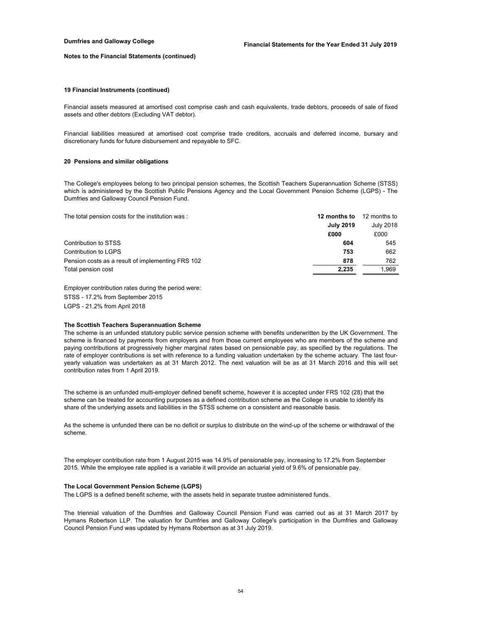#### **19 Financial Instruments (continued)**

Financial assets measured at amortised cost comprise cash and cash equivalents, trade debtors, proceeds of sale of fixed assets and other debtors (Excluding VAT debtor).

Financial liabilities measured at amortised cost comprise trade creditors, accruals and deferred income, bursary and discretionary funds for future disbursement and repayable to SFC.

## **20 Pensions and similar obligations**

The College's employees belong to two principal pension schemes, the Scottish Teachers Superannuation Scheme (STSS) which is administered by the Scottish Public Pensions Agency and the Local Government Pension Scheme (LGPS) - The Dumfries and Galloway Council Pension Fund.

The total pension costs for the institution was : **12 months to** 12 months to

|                                                   | <b>July 2019</b><br>£000 | <b>July 2018</b><br>£000 |
|---------------------------------------------------|--------------------------|--------------------------|
| Contribution to STSS                              | 604                      | 545                      |
| Contribution to LGPS                              | 753                      | 662                      |
| Pension costs as a result of implementing FRS 102 | 878                      | 762                      |
| Total pension cost                                | 2.235                    | 1.969                    |

Employer contribution rates during the period were: STSS - 17.2% from September 2015 LGPS - 21.2% from April 2018

#### **The Scottish Teachers Superannuation Scheme**

The scheme is an unfunded statutory public service pension scheme with benefits underwritten by the UK Government. The scheme is financed by payments from employers and from those current employees who are members of the scheme and paying contributions at progressively higher marginal rates based on pensionable pay, as specified by the regulations. The rate of employer contributions is set with reference to a funding valuation undertaken by the scheme actuary. The last fouryearly valuation was undertaken as at 31 March 2012. The next valuation will be as at 31 March 2016 and this will set contribution rates from 1 April 2019.

The scheme is an unfunded multi-employer defined benefit scheme, however it is accepted under FRS 102 (28) that the scheme can be treated for accounting purposes as a defined contribution scheme as the College is unable to identify its share of the underlying assets and liabilities in the STSS scheme on a consistent and reasonable basis.

As the scheme is unfunded there can be no deficit or surplus to distribute on the wind-up of the scheme or withdrawal of the scheme.

The employer contribution rate from 1 August 2015 was 14.9% of pensionable pay, increasing to 17.2% from September 2015. While the employee rate applied is a variable it will provide an actuarial yield of 9.6% of pensionable pay.

### **The Local Government Pension Scheme (LGPS)**

The LGPS is a defined benefit scheme, with the assets held in separate trustee administered funds.

The triennial valuation of the Dumfries and Galloway Council Pension Fund was carried out as at 31 March 2017 by Hymans Robertson LLP. The valuation for Dumfries and Galloway College's participation in the Dumfries and Galloway Council Pension Fund was updated by Hymans Robertson as at 31 July 2019.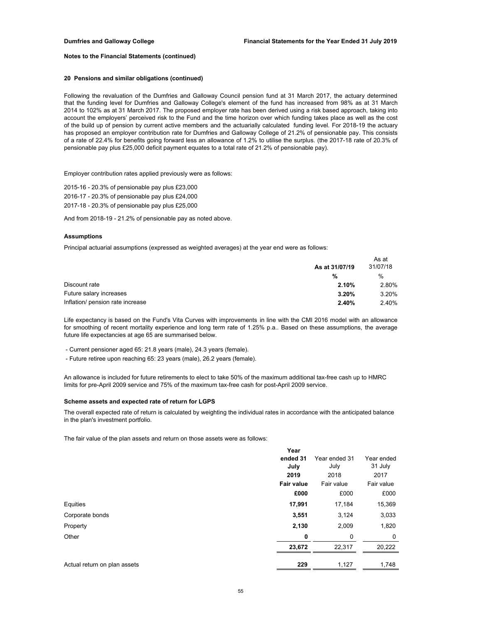#### **20 Pensions and similar obligations (continued)**

Following the revaluation of the Dumfries and Galloway Council pension fund at 31 March 2017, the actuary determined that the funding level for Dumfries and Galloway College's element of the fund has increased from 98% as at 31 March 2014 to 102% as at 31 March 2017. The proposed employer rate has been derived using a risk based approach, taking into account the employers' perceived risk to the Fund and the time horizon over which funding takes place as well as the cost of the build up of pension by current active members and the actuarially calculated funding level. For 2018-19 the actuary has proposed an employer contribution rate for Dumfries and Galloway College of 21.2% of pensionable pay. This consists of a rate of 22.4% for benefits going forward less an allowance of 1.2% to utilise the surplus. (the 2017-18 rate of 20.3% of pensionable pay plus £25,000 deficit payment equates to a total rate of 21.2% of pensionable pay).

Employer contribution rates applied previously were as follows:

2017-18 - 20.3% of pensionable pay plus £25,000 2016-17 - 20.3% of pensionable pay plus £24,000 2015-16 - 20.3% of pensionable pay plus £23,000

And from 2018-19 - 21.2% of pensionable pay as noted above.

#### **Assumptions**

Principal actuarial assumptions (expressed as weighted averages) at the year end were as follows:

|                                  |                | As at         |
|----------------------------------|----------------|---------------|
|                                  | As at 31/07/19 | 31/07/18      |
|                                  | %              | $\frac{0}{0}$ |
| Discount rate                    | 2.10%          | 2.80%         |
| Future salary increases          | $3.20\%$       | 3.20%         |
| Inflation/ pension rate increase | 2.40%          | 2.40%         |

Life expectancy is based on the Fund's Vita Curves with improvements in line with the CMI 2016 model with an allowance for smoothing of recent mortality experience and long term rate of 1.25% p.a.. Based on these assumptions, the average future life expectancies at age 65 are summarised below.

- Current pensioner aged 65: 21.8 years (male), 24.3 years (female).

- Future retiree upon reaching 65: 23 years (male), 26.2 years (female).

An allowance is included for future retirements to elect to take 50% of the maximum additional tax-free cash up to HMRC limits for pre-April 2009 service and 75% of the maximum tax-free cash for post-April 2009 service.

### **Scheme assets and expected rate of return for LGPS**

The overall expected rate of return is calculated by weighting the individual rates in accordance with the anticipated balance in the plan's investment portfolio.

The fair value of the plan assets and return on those assets were as follows:

|                              | Year              |               |            |
|------------------------------|-------------------|---------------|------------|
|                              | ended 31          | Year ended 31 | Year ended |
|                              | July              | July          | 31 July    |
|                              | 2019              | 2018          | 2017       |
|                              | <b>Fair value</b> | Fair value    | Fair value |
|                              | £000              | £000          | £000       |
| Equities                     | 17,991            | 17,184        | 15,369     |
| Corporate bonds              | 3,551             | 3,124         | 3,033      |
| Property                     | 2,130             | 2,009         | 1,820      |
| Other                        | 0                 | 0             | 0          |
|                              | 23,672            | 22,317        | 20,222     |
| Actual return on plan assets | 229               | 1,127         | 1.748      |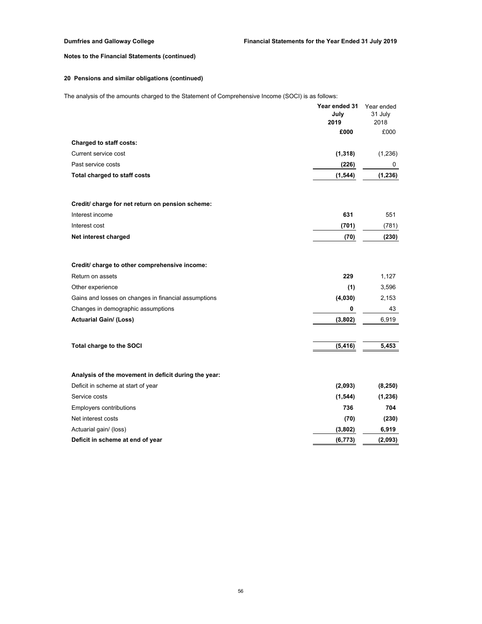# **20 Pensions and similar obligations (continued)**

The analysis of the amounts charged to the Statement of Comprehensive Income (SOCI) is as follows:

|                                                      | Year ended 31<br>July<br>2019<br>£000 | Year ended<br>31 July<br>2018<br>£000 |
|------------------------------------------------------|---------------------------------------|---------------------------------------|
| <b>Charged to staff costs:</b>                       |                                       |                                       |
| Current service cost                                 | (1, 318)                              | (1,236)                               |
| Past service costs                                   | (226)                                 | 0                                     |
| Total charged to staff costs                         | (1, 544)                              | (1, 236)                              |
| Credit/ charge for net return on pension scheme:     |                                       |                                       |
| Interest income                                      | 631                                   | 551                                   |
| Interest cost                                        | (701)                                 | (781)                                 |
| Net interest charged                                 | (70)                                  | (230)                                 |
| Credit/ charge to other comprehensive income:        |                                       |                                       |
| Return on assets                                     | 229                                   | 1,127                                 |
| Other experience                                     | (1)                                   | 3,596                                 |
| Gains and losses on changes in financial assumptions | (4,030)                               | 2,153                                 |
| Changes in demographic assumptions                   | 0                                     | 43                                    |
| <b>Actuarial Gain/ (Loss)</b>                        | (3,802)                               | 6,919                                 |
| Total charge to the SOCI                             | (5, 416)                              | 5,453                                 |
| Analysis of the movement in deficit during the year: |                                       |                                       |
| Deficit in scheme at start of year                   | (2,093)                               | (8, 250)                              |
| Service costs                                        | (1, 544)                              | (1, 236)                              |
| <b>Employers contributions</b>                       | 736                                   | 704                                   |
| Net interest costs                                   | (70)                                  | (230)                                 |
| Actuarial gain/ (loss)                               | (3,802)                               | 6,919                                 |
| Deficit in scheme at end of year                     | (6, 773)                              | (2,093)                               |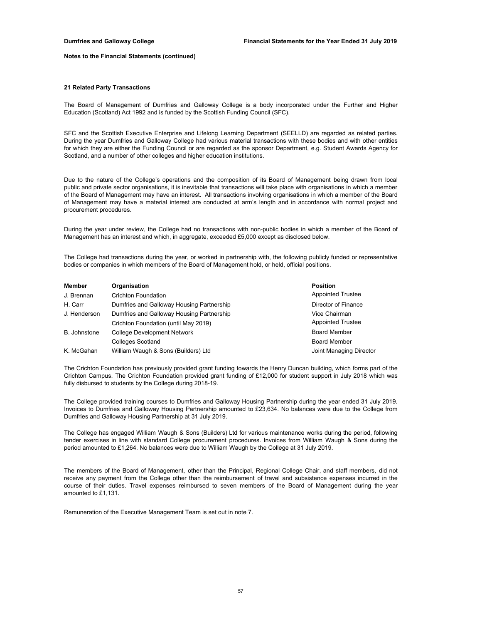#### **21 Related Party Transactions**

The Board of Management of Dumfries and Galloway College is a body incorporated under the Further and Higher Education (Scotland) Act 1992 and is funded by the Scottish Funding Council (SFC).

SFC and the Scottish Executive Enterprise and Lifelong Learning Department (SEELLD) are regarded as related parties. During the year Dumfries and Galloway College had various material transactions with these bodies and with other entities for which they are either the Funding Council or are regarded as the sponsor Department, e.g. Student Awards Agency for Scotland, and a number of other colleges and higher education institutions.

Due to the nature of the College's operations and the composition of its Board of Management being drawn from local public and private sector organisations, it is inevitable that transactions will take place with organisations in which a member of the Board of Management may have an interest. All transactions involving organisations in which a member of the Board of Management may have a material interest are conducted at arm's length and in accordance with normal project and procurement procedures.

During the year under review, the College had no transactions with non-public bodies in which a member of the Board of Management has an interest and which, in aggregate, exceeded £5,000 except as disclosed below.

The College had transactions during the year, or worked in partnership with, the following publicly funded or representative bodies or companies in which members of the Board of Management hold, or held, official positions.

| Member       | Organisation                              | <b>Position</b>          |
|--------------|-------------------------------------------|--------------------------|
| J. Brennan   | <b>Crichton Foundation</b>                | <b>Appointed Trustee</b> |
| H. Carr      | Dumfries and Galloway Housing Partnership | Director of Finance      |
| J. Henderson | Dumfries and Galloway Housing Partnership | Vice Chairman            |
|              | Crichton Foundation (until May 2019)      | <b>Appointed Trustee</b> |
| B. Johnstone | <b>College Development Network</b>        | <b>Board Member</b>      |
|              | <b>Colleges Scotland</b>                  | <b>Board Member</b>      |
| K. McGahan   | William Waugh & Sons (Builders) Ltd       | Joint Managing Director  |

The Crichton Foundation has previously provided grant funding towards the Henry Duncan building, which forms part of the Crichton Campus. The Crichton Foundation provided grant funding of £12,000 for student support in July 2018 which was fully disbursed to students by the College during 2018-19.

The College provided training courses to Dumfries and Galloway Housing Partnership during the year ended 31 July 2019. Invoices to Dumfries and Galloway Housing Partnership amounted to £23,634. No balances were due to the College from Dumfries and Galloway Housing Partnership at 31 July 2019.

The College has engaged William Waugh & Sons (Builders) Ltd for various maintenance works during the period, following tender exercises in line with standard College procurement procedures. Invoices from William Waugh & Sons during the period amounted to £1,264. No balances were due to William Waugh by the College at 31 July 2019.

The members of the Board of Management, other than the Principal, Regional College Chair, and staff members, did not receive any payment from the College other than the reimbursement of travel and subsistence expenses incurred in the course of their duties. Travel expenses reimbursed to seven members of the Board of Management during the year amounted to £1,131.

Remuneration of the Executive Management Team is set out in note 7.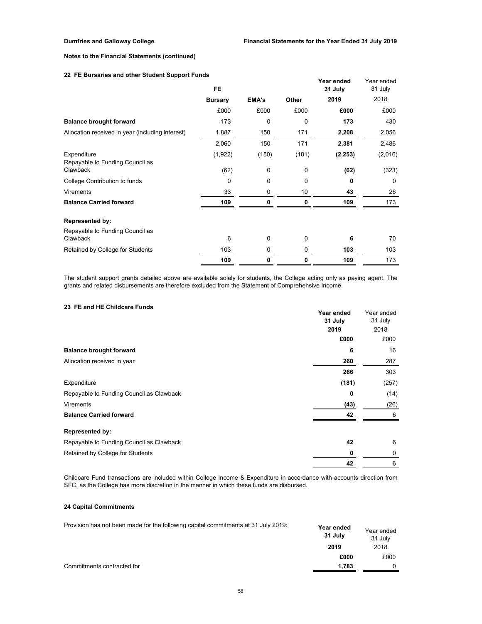## **22 FE Bursaries and other Student Support Funds**

|                                                  | <b>FE</b>      |              |       | Year ended<br>31 July | Year ended<br>31 July |
|--------------------------------------------------|----------------|--------------|-------|-----------------------|-----------------------|
|                                                  | <b>Bursary</b> | <b>EMA's</b> | Other | 2019                  | 2018                  |
|                                                  | £000           | £000         | £000  | £000                  | £000                  |
| <b>Balance brought forward</b>                   | 173            | 0            | 0     | 173                   | 430                   |
| Allocation received in year (including interest) | 1,887          | 150          | 171   | 2,208                 | 2,056                 |
|                                                  | 2,060          | 150          | 171   | 2,381                 | 2,486                 |
| Expenditure<br>Repayable to Funding Council as   | (1,922)        | (150)        | (181) | (2, 253)              | (2,016)               |
| Clawback                                         | (62)           | 0            | 0     | (62)                  | (323)                 |
| College Contribution to funds                    | 0              | 0            | 0     | 0                     | $\Omega$              |
| <b>Virements</b>                                 | 33             | 0            | 10    | 43                    | 26                    |
| <b>Balance Carried forward</b>                   | 109            | 0            | 0     | 109                   | 173                   |
| <b>Represented by:</b>                           |                |              |       |                       |                       |
| Repayable to Funding Council as<br>Clawback      | 6              | 0            | 0     | 6                     | 70                    |
| Retained by College for Students                 | 103            | 0            | 0     | 103                   | 103                   |
|                                                  | 109            | 0            | 0     | 109                   | 173                   |

The student support grants detailed above are available solely for students, the College acting only as paying agent. The grants and related disbursements are therefore excluded from the Statement of Comprehensive Income.

## **23 FE and HE Childcare Funds**

|                                          | Year ended<br>31 July | Year ended<br>31 July |
|------------------------------------------|-----------------------|-----------------------|
|                                          | 2019                  | 2018                  |
|                                          | £000                  | £000                  |
| <b>Balance brought forward</b>           | 6                     | 16                    |
| Allocation received in year              | 260                   | 287                   |
|                                          | 266                   | 303                   |
| Expenditure                              | (181)                 | (257)                 |
| Repayable to Funding Council as Clawback | 0                     | (14)                  |
| <b>Virements</b>                         | (43)                  | (26)                  |
| <b>Balance Carried forward</b>           | 42                    | 6                     |
| <b>Represented by:</b>                   |                       |                       |
| Repayable to Funding Council as Clawback | 42                    | 6                     |
| Retained by College for Students         | 0                     | 0                     |
|                                          | 42                    | 6                     |

Childcare Fund transactions are included within College Income & Expenditure in accordance with accounts direction from SFC, as the College has more discretion in the manner in which these funds are disbursed.

# **24 Capital Commitments**

| Provision has not been made for the following capital commitments at 31 July 2019: | Year ended<br>31 July | Year ended<br>31 July |
|------------------------------------------------------------------------------------|-----------------------|-----------------------|
|                                                                                    | 2019                  | 2018                  |
|                                                                                    | £000                  | £000                  |
| Commitments contracted for                                                         | 1.783                 |                       |